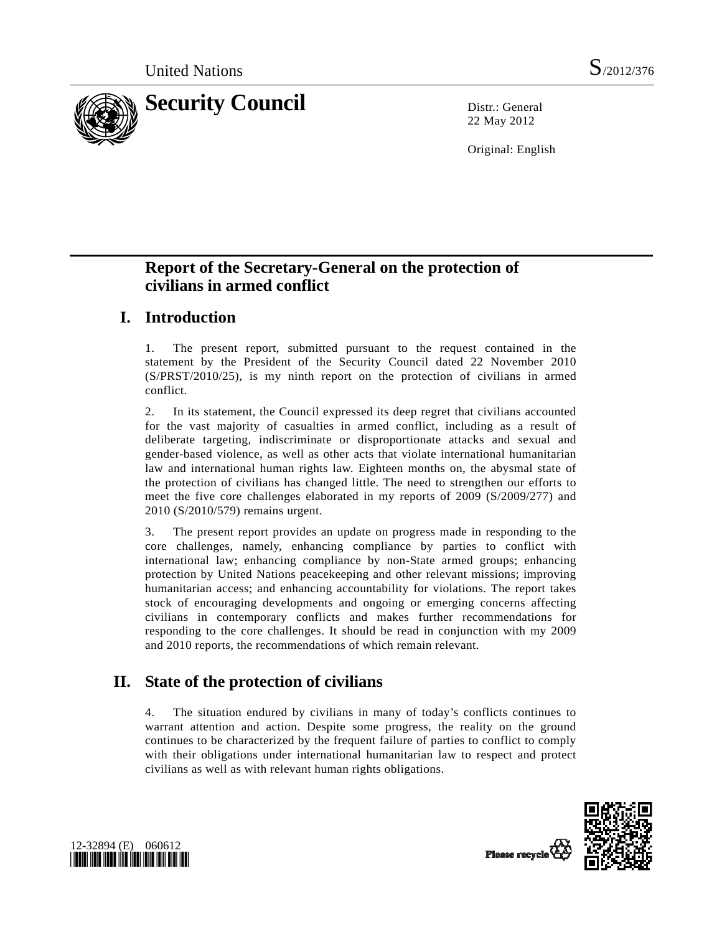

22 May 2012

Original: English

# **Report of the Secretary-General on the protection of civilians in armed conflict**

# **I. Introduction**

1. The present report, submitted pursuant to the request contained in the statement by the President of the Security Council dated 22 November 2010 (S/PRST/2010/25), is my ninth report on the protection of civilians in armed conflict.

2. In its statement, the Council expressed its deep regret that civilians accounted for the vast majority of casualties in armed conflict, including as a result of deliberate targeting, indiscriminate or disproportionate attacks and sexual and gender-based violence, as well as other acts that violate international humanitarian law and international human rights law. Eighteen months on, the abysmal state of the protection of civilians has changed little. The need to strengthen our efforts to meet the five core challenges elaborated in my reports of 2009 (S/2009/277) and 2010 (S/2010/579) remains urgent.

3. The present report provides an update on progress made in responding to the core challenges, namely, enhancing compliance by parties to conflict with international law; enhancing compliance by non-State armed groups; enhancing protection by United Nations peacekeeping and other relevant missions; improving humanitarian access; and enhancing accountability for violations. The report takes stock of encouraging developments and ongoing or emerging concerns affecting civilians in contemporary conflicts and makes further recommendations for responding to the core challenges. It should be read in conjunction with my 2009 and 2010 reports, the recommendations of which remain relevant.

# **II. State of the protection of civilians**

4. The situation endured by civilians in many of today's conflicts continues to warrant attention and action. Despite some progress, the reality on the ground continues to be characterized by the frequent failure of parties to conflict to comply with their obligations under international humanitarian law to respect and protect civilians as well as with relevant human rights obligations.



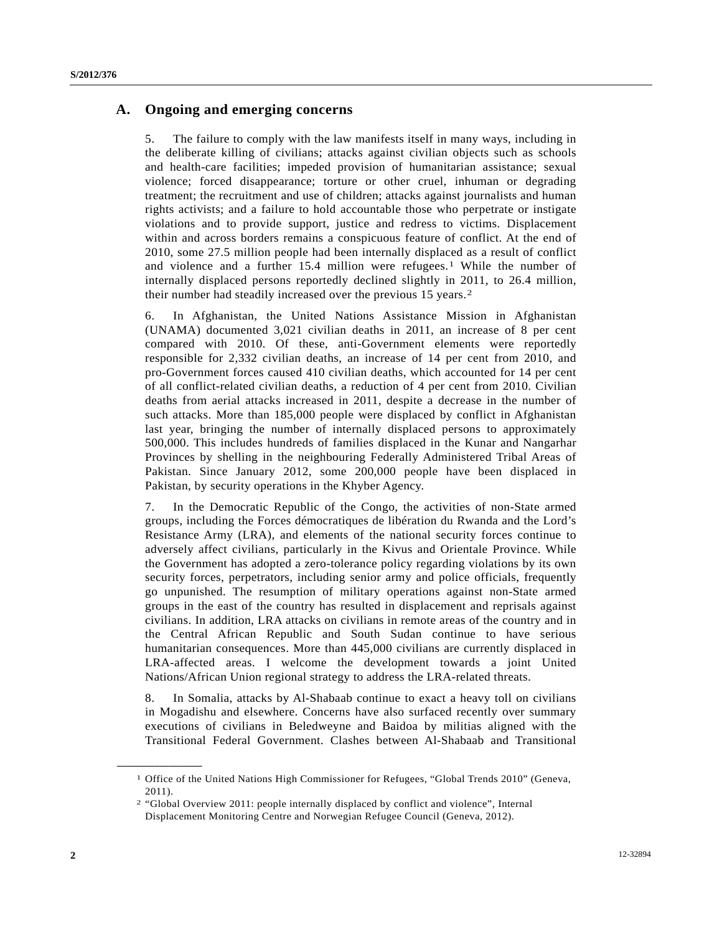### **A. Ongoing and emerging concerns**

5. The failure to comply with the law manifests itself in many ways, including in the deliberate killing of civilians; attacks against civilian objects such as schools and health-care facilities; impeded provision of humanitarian assistance; sexual violence; forced disappearance; torture or other cruel, inhuman or degrading treatment; the recruitment and use of children; attacks against journalists and human rights activists; and a failure to hold accountable those who perpetrate or instigate violations and to provide support, justice and redress to victims. Displacement within and across borders remains a conspicuous feature of conflict. At the end of 2010, some 27.5 million people had been internally displaced as a result of conflict and violence and a further 15.4 million were refugees.[1](#page-1-0) While the number of internally displaced persons reportedly declined slightly in 2011, to 26.4 million, their number had steadily increased over the previous 15 years.[2](#page-1-1)

6. In Afghanistan, the United Nations Assistance Mission in Afghanistan (UNAMA) documented 3,021 civilian deaths in 2011, an increase of 8 per cent compared with 2010. Of these, anti-Government elements were reportedly responsible for 2,332 civilian deaths, an increase of 14 per cent from 2010, and pro-Government forces caused 410 civilian deaths, which accounted for 14 per cent of all conflict-related civilian deaths, a reduction of 4 per cent from 2010. Civilian deaths from aerial attacks increased in 2011, despite a decrease in the number of such attacks. More than 185,000 people were displaced by conflict in Afghanistan last year, bringing the number of internally displaced persons to approximately 500,000. This includes hundreds of families displaced in the Kunar and Nangarhar Provinces by shelling in the neighbouring Federally Administered Tribal Areas of Pakistan. Since January 2012, some 200,000 people have been displaced in Pakistan, by security operations in the Khyber Agency.

7. In the Democratic Republic of the Congo, the activities of non-State armed groups, including the Forces démocratiques de libération du Rwanda and the Lord's Resistance Army (LRA), and elements of the national security forces continue to adversely affect civilians, particularly in the Kivus and Orientale Province. While the Government has adopted a zero-tolerance policy regarding violations by its own security forces, perpetrators, including senior army and police officials, frequently go unpunished. The resumption of military operations against non-State armed groups in the east of the country has resulted in displacement and reprisals against civilians. In addition, LRA attacks on civilians in remote areas of the country and in the Central African Republic and South Sudan continue to have serious humanitarian consequences. More than 445,000 civilians are currently displaced in LRA-affected areas. I welcome the development towards a joint United Nations/African Union regional strategy to address the LRA-related threats.

8. In Somalia, attacks by Al-Shabaab continue to exact a heavy toll on civilians in Mogadishu and elsewhere. Concerns have also surfaced recently over summary executions of civilians in Beledweyne and Baidoa by militias aligned with the Transitional Federal Government. Clashes between Al-Shabaab and Transitional

<span id="page-1-0"></span><sup>&</sup>lt;sup>1</sup> Office of the United Nations High Commissioner for Refugees, "Global Trends 2010" (Geneva, 2011).

<span id="page-1-1"></span><sup>2 &</sup>quot;Global Overview 2011: people internally displaced by conflict and violence", Internal Displacement Monitoring Centre and Norwegian Refugee Council (Geneva, 2012).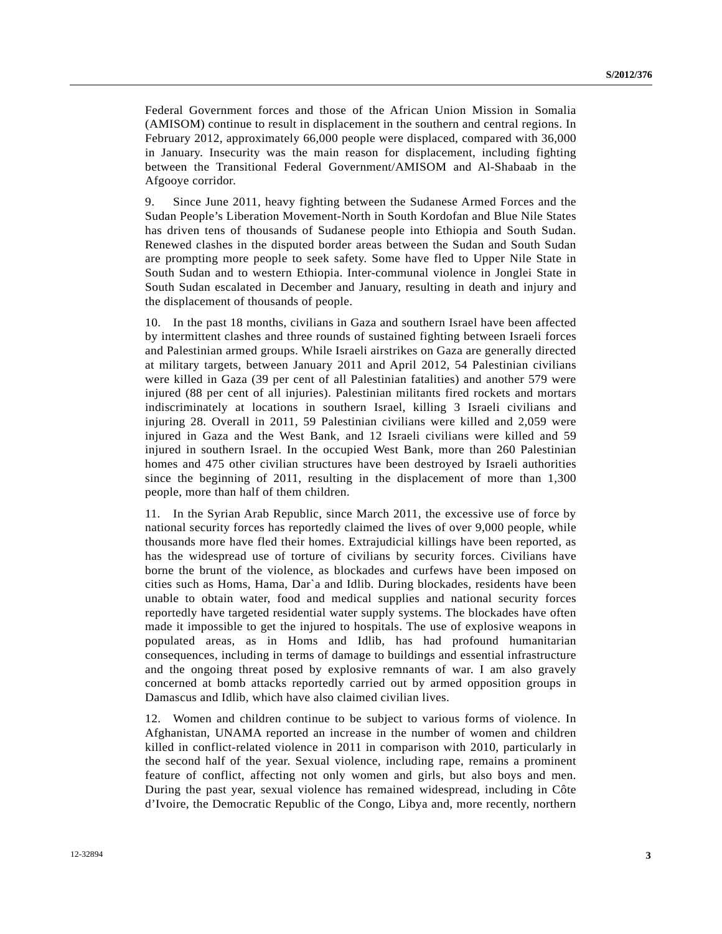Federal Government forces and those of the African Union Mission in Somalia (AMISOM) continue to result in displacement in the southern and central regions. In February 2012, approximately 66,000 people were displaced, compared with 36,000 in January. Insecurity was the main reason for displacement, including fighting between the Transitional Federal Government/AMISOM and Al-Shabaab in the Afgooye corridor.

9. Since June 2011, heavy fighting between the Sudanese Armed Forces and the Sudan People's Liberation Movement-North in South Kordofan and Blue Nile States has driven tens of thousands of Sudanese people into Ethiopia and South Sudan. Renewed clashes in the disputed border areas between the Sudan and South Sudan are prompting more people to seek safety. Some have fled to Upper Nile State in South Sudan and to western Ethiopia. Inter-communal violence in Jonglei State in South Sudan escalated in December and January, resulting in death and injury and the displacement of thousands of people.

10. In the past 18 months, civilians in Gaza and southern Israel have been affected by intermittent clashes and three rounds of sustained fighting between Israeli forces and Palestinian armed groups. While Israeli airstrikes on Gaza are generally directed at military targets, between January 2011 and April 2012, 54 Palestinian civilians were killed in Gaza (39 per cent of all Palestinian fatalities) and another 579 were injured (88 per cent of all injuries). Palestinian militants fired rockets and mortars indiscriminately at locations in southern Israel, killing 3 Israeli civilians and injuring 28. Overall in 2011, 59 Palestinian civilians were killed and 2,059 were injured in Gaza and the West Bank, and 12 Israeli civilians were killed and 59 injured in southern Israel. In the occupied West Bank, more than 260 Palestinian homes and 475 other civilian structures have been destroyed by Israeli authorities since the beginning of 2011, resulting in the displacement of more than 1,300 people, more than half of them children.

11. In the Syrian Arab Republic, since March 2011, the excessive use of force by national security forces has reportedly claimed the lives of over 9,000 people, while thousands more have fled their homes. Extrajudicial killings have been reported, as has the widespread use of torture of civilians by security forces. Civilians have borne the brunt of the violence, as blockades and curfews have been imposed on cities such as Homs, Hama, Dar`a and Idlib. During blockades, residents have been unable to obtain water, food and medical supplies and national security forces reportedly have targeted residential water supply systems. The blockades have often made it impossible to get the injured to hospitals. The use of explosive weapons in populated areas, as in Homs and Idlib, has had profound humanitarian consequences, including in terms of damage to buildings and essential infrastructure and the ongoing threat posed by explosive remnants of war. I am also gravely concerned at bomb attacks reportedly carried out by armed opposition groups in Damascus and Idlib, which have also claimed civilian lives.

12. Women and children continue to be subject to various forms of violence. In Afghanistan, UNAMA reported an increase in the number of women and children killed in conflict-related violence in 2011 in comparison with 2010, particularly in the second half of the year. Sexual violence, including rape, remains a prominent feature of conflict, affecting not only women and girls, but also boys and men. During the past year, sexual violence has remained widespread, including in Côte d'Ivoire, the Democratic Republic of the Congo, Libya and, more recently, northern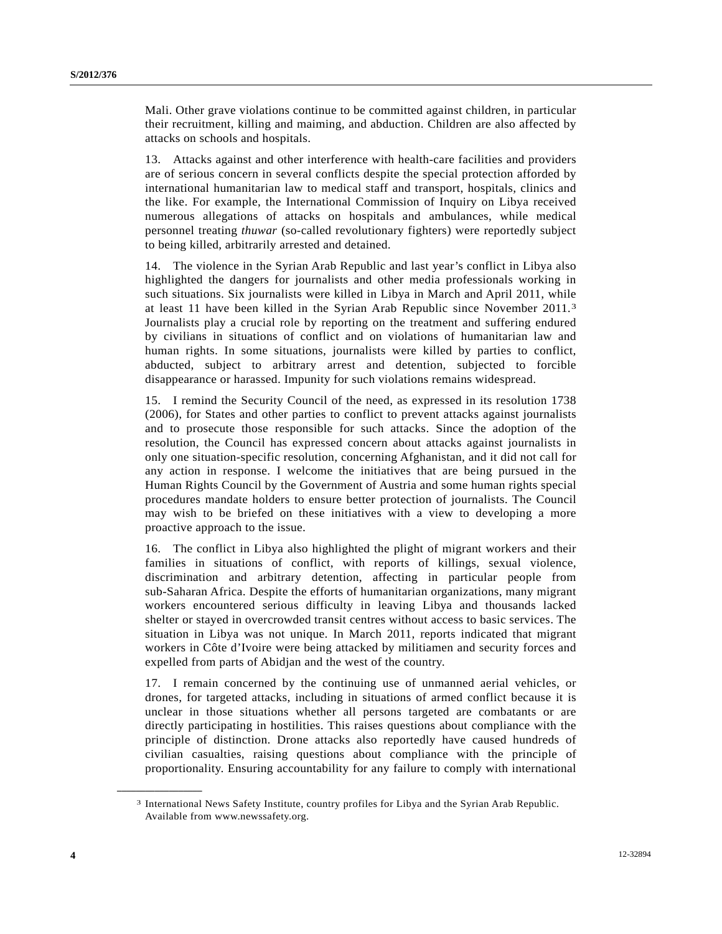Mali. Other grave violations continue to be committed against children, in particular their recruitment, killing and maiming, and abduction. Children are also affected by attacks on schools and hospitals.

13. Attacks against and other interference with health-care facilities and providers are of serious concern in several conflicts despite the special protection afforded by international humanitarian law to medical staff and transport, hospitals, clinics and the like. For example, the International Commission of Inquiry on Libya received numerous allegations of attacks on hospitals and ambulances, while medical personnel treating *thuwar* (so-called revolutionary fighters) were reportedly subject to being killed, arbitrarily arrested and detained.

14. The violence in the Syrian Arab Republic and last year's conflict in Libya also highlighted the dangers for journalists and other media professionals working in such situations. Six journalists were killed in Libya in March and April 2011, while at least 11 have been killed in the Syrian Arab Republic since November 2011.[3](#page-3-0) Journalists play a crucial role by reporting on the treatment and suffering endured by civilians in situations of conflict and on violations of humanitarian law and human rights. In some situations, journalists were killed by parties to conflict, abducted, subject to arbitrary arrest and detention, subjected to forcible disappearance or harassed. Impunity for such violations remains widespread.

15. I remind the Security Council of the need, as expressed in its resolution 1738 (2006), for States and other parties to conflict to prevent attacks against journalists and to prosecute those responsible for such attacks. Since the adoption of the resolution, the Council has expressed concern about attacks against journalists in only one situation-specific resolution, concerning Afghanistan, and it did not call for any action in response. I welcome the initiatives that are being pursued in the Human Rights Council by the Government of Austria and some human rights special procedures mandate holders to ensure better protection of journalists. The Council may wish to be briefed on these initiatives with a view to developing a more proactive approach to the issue.

16. The conflict in Libya also highlighted the plight of migrant workers and their families in situations of conflict, with reports of killings, sexual violence, discrimination and arbitrary detention, affecting in particular people from sub-Saharan Africa. Despite the efforts of humanitarian organizations, many migrant workers encountered serious difficulty in leaving Libya and thousands lacked shelter or stayed in overcrowded transit centres without access to basic services. The situation in Libya was not unique. In March 2011, reports indicated that migrant workers in Côte d'Ivoire were being attacked by militiamen and security forces and expelled from parts of Abidjan and the west of the country.

17. I remain concerned by the continuing use of unmanned aerial vehicles, or drones, for targeted attacks, including in situations of armed conflict because it is unclear in those situations whether all persons targeted are combatants or are directly participating in hostilities. This raises questions about compliance with the principle of distinction. Drone attacks also reportedly have caused hundreds of civilian casualties, raising questions about compliance with the principle of proportionality. Ensuring accountability for any failure to comply with international

<span id="page-3-0"></span><sup>3</sup> International News Safety Institute, country profiles for Libya and the Syrian Arab Republic. Available from www.newssafety.org.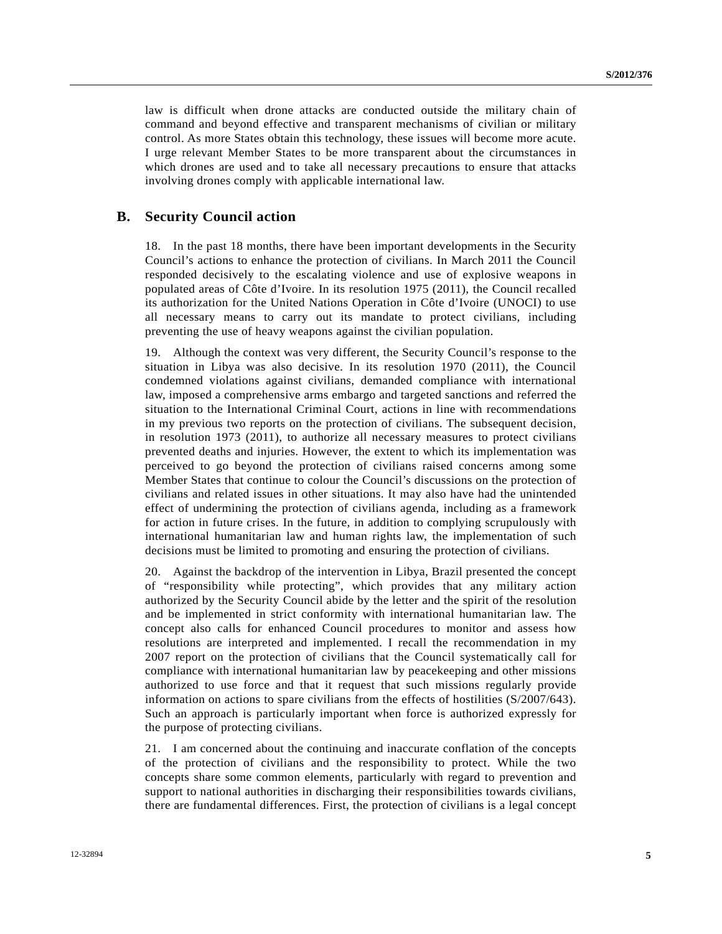law is difficult when drone attacks are conducted outside the military chain of command and beyond effective and transparent mechanisms of civilian or military control. As more States obtain this technology, these issues will become more acute. I urge relevant Member States to be more transparent about the circumstances in which drones are used and to take all necessary precautions to ensure that attacks involving drones comply with applicable international law.

### **B. Security Council action**

18. In the past 18 months, there have been important developments in the Security Council's actions to enhance the protection of civilians. In March 2011 the Council responded decisively to the escalating violence and use of explosive weapons in populated areas of Côte d'Ivoire. In its resolution 1975 (2011), the Council recalled its authorization for the United Nations Operation in Côte d'Ivoire (UNOCI) to use all necessary means to carry out its mandate to protect civilians, including preventing the use of heavy weapons against the civilian population.

19. Although the context was very different, the Security Council's response to the situation in Libya was also decisive. In its resolution 1970 (2011), the Council condemned violations against civilians, demanded compliance with international law, imposed a comprehensive arms embargo and targeted sanctions and referred the situation to the International Criminal Court, actions in line with recommendations in my previous two reports on the protection of civilians. The subsequent decision, in resolution 1973 (2011), to authorize all necessary measures to protect civilians prevented deaths and injuries. However, the extent to which its implementation was perceived to go beyond the protection of civilians raised concerns among some Member States that continue to colour the Council's discussions on the protection of civilians and related issues in other situations. It may also have had the unintended effect of undermining the protection of civilians agenda, including as a framework for action in future crises. In the future, in addition to complying scrupulously with international humanitarian law and human rights law, the implementation of such decisions must be limited to promoting and ensuring the protection of civilians.

20. Against the backdrop of the intervention in Libya, Brazil presented the concept of "responsibility while protecting", which provides that any military action authorized by the Security Council abide by the letter and the spirit of the resolution and be implemented in strict conformity with international humanitarian law. The concept also calls for enhanced Council procedures to monitor and assess how resolutions are interpreted and implemented. I recall the recommendation in my 2007 report on the protection of civilians that the Council systematically call for compliance with international humanitarian law by peacekeeping and other missions authorized to use force and that it request that such missions regularly provide information on actions to spare civilians from the effects of hostilities (S/2007/643). Such an approach is particularly important when force is authorized expressly for the purpose of protecting civilians.

21. I am concerned about the continuing and inaccurate conflation of the concepts of the protection of civilians and the responsibility to protect. While the two concepts share some common elements, particularly with regard to prevention and support to national authorities in discharging their responsibilities towards civilians, there are fundamental differences. First, the protection of civilians is a legal concept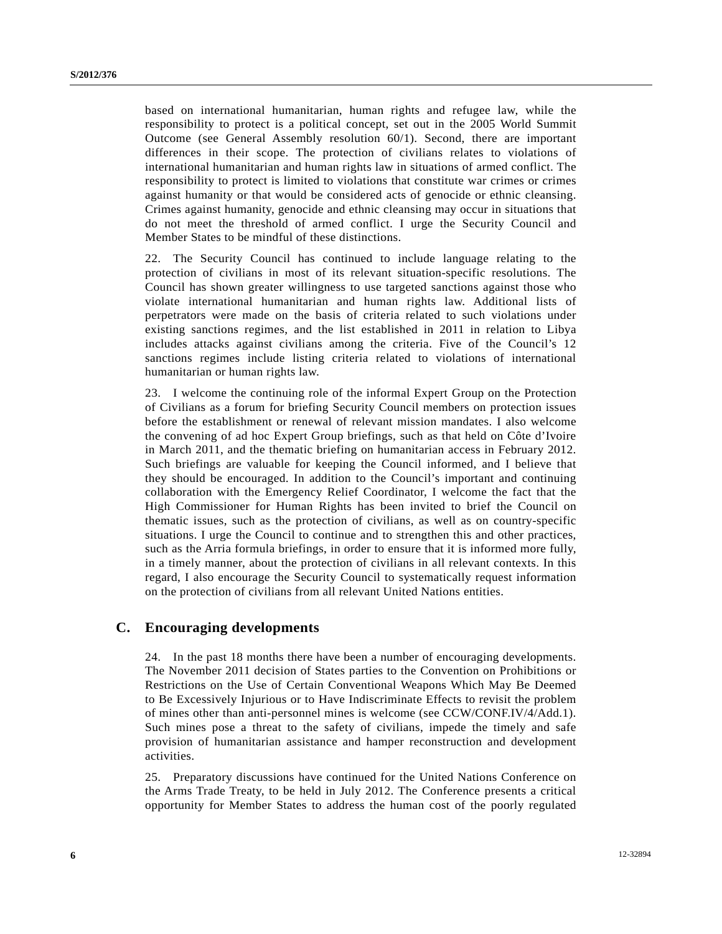based on international humanitarian, human rights and refugee law, while the responsibility to protect is a political concept, set out in the 2005 World Summit Outcome (see General Assembly resolution 60/1). Second, there are important differences in their scope. The protection of civilians relates to violations of international humanitarian and human rights law in situations of armed conflict. The responsibility to protect is limited to violations that constitute war crimes or crimes against humanity or that would be considered acts of genocide or ethnic cleansing. Crimes against humanity, genocide and ethnic cleansing may occur in situations that do not meet the threshold of armed conflict. I urge the Security Council and Member States to be mindful of these distinctions.

22. The Security Council has continued to include language relating to the protection of civilians in most of its relevant situation-specific resolutions. The Council has shown greater willingness to use targeted sanctions against those who violate international humanitarian and human rights law. Additional lists of perpetrators were made on the basis of criteria related to such violations under existing sanctions regimes, and the list established in 2011 in relation to Libya includes attacks against civilians among the criteria. Five of the Council's 12 sanctions regimes include listing criteria related to violations of international humanitarian or human rights law.

23. I welcome the continuing role of the informal Expert Group on the Protection of Civilians as a forum for briefing Security Council members on protection issues before the establishment or renewal of relevant mission mandates. I also welcome the convening of ad hoc Expert Group briefings, such as that held on Côte d'Ivoire in March 2011, and the thematic briefing on humanitarian access in February 2012. Such briefings are valuable for keeping the Council informed, and I believe that they should be encouraged. In addition to the Council's important and continuing collaboration with the Emergency Relief Coordinator, I welcome the fact that the High Commissioner for Human Rights has been invited to brief the Council on thematic issues, such as the protection of civilians, as well as on country-specific situations. I urge the Council to continue and to strengthen this and other practices, such as the Arria formula briefings, in order to ensure that it is informed more fully, in a timely manner, about the protection of civilians in all relevant contexts. In this regard, I also encourage the Security Council to systematically request information on the protection of civilians from all relevant United Nations entities.

### **C. Encouraging developments**

24. In the past 18 months there have been a number of encouraging developments. The November 2011 decision of States parties to the Convention on Prohibitions or Restrictions on the Use of Certain Conventional Weapons Which May Be Deemed to Be Excessively Injurious or to Have Indiscriminate Effects to revisit the problem of mines other than anti-personnel mines is welcome (see CCW/CONF.IV/4/Add.1). Such mines pose a threat to the safety of civilians, impede the timely and safe provision of humanitarian assistance and hamper reconstruction and development activities.

25. Preparatory discussions have continued for the United Nations Conference on the Arms Trade Treaty, to be held in July 2012. The Conference presents a critical opportunity for Member States to address the human cost of the poorly regulated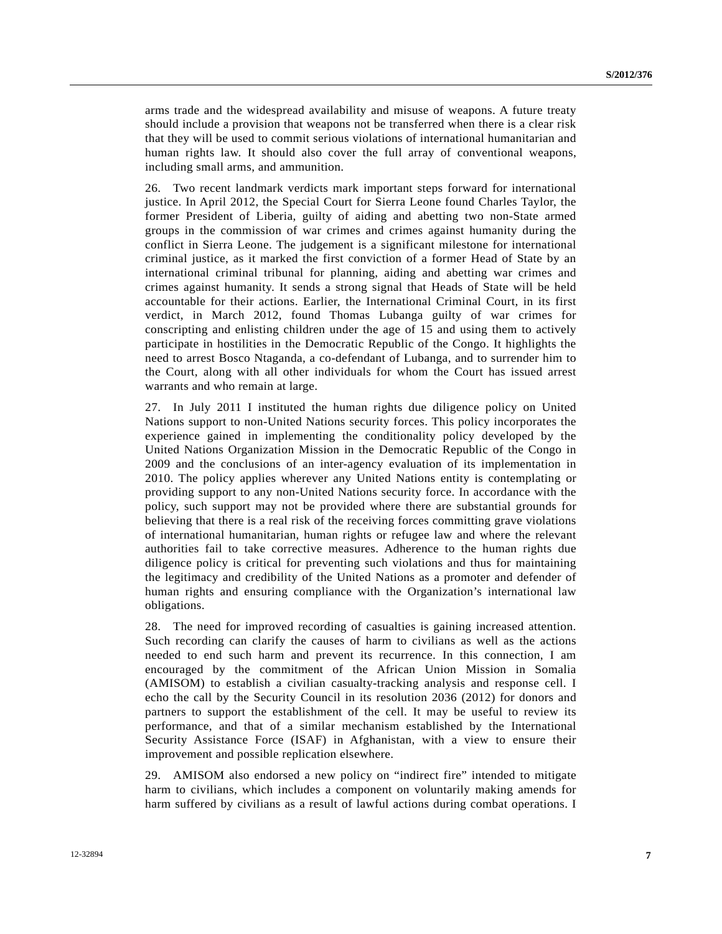arms trade and the widespread availability and misuse of weapons. A future treaty should include a provision that weapons not be transferred when there is a clear risk that they will be used to commit serious violations of international humanitarian and human rights law. It should also cover the full array of conventional weapons, including small arms, and ammunition.

26. Two recent landmark verdicts mark important steps forward for international justice. In April 2012, the Special Court for Sierra Leone found Charles Taylor, the former President of Liberia, guilty of aiding and abetting two non-State armed groups in the commission of war crimes and crimes against humanity during the conflict in Sierra Leone. The judgement is a significant milestone for international criminal justice, as it marked the first conviction of a former Head of State by an international criminal tribunal for planning, aiding and abetting war crimes and crimes against humanity. It sends a strong signal that Heads of State will be held accountable for their actions. Earlier, the International Criminal Court, in its first verdict, in March 2012, found Thomas Lubanga guilty of war crimes for conscripting and enlisting children under the age of 15 and using them to actively participate in hostilities in the Democratic Republic of the Congo. It highlights the need to arrest Bosco Ntaganda, a co-defendant of Lubanga, and to surrender him to the Court, along with all other individuals for whom the Court has issued arrest warrants and who remain at large.

27. In July 2011 I instituted the human rights due diligence policy on United Nations support to non-United Nations security forces. This policy incorporates the experience gained in implementing the conditionality policy developed by the United Nations Organization Mission in the Democratic Republic of the Congo in 2009 and the conclusions of an inter-agency evaluation of its implementation in 2010. The policy applies wherever any United Nations entity is contemplating or providing support to any non-United Nations security force. In accordance with the policy, such support may not be provided where there are substantial grounds for believing that there is a real risk of the receiving forces committing grave violations of international humanitarian, human rights or refugee law and where the relevant authorities fail to take corrective measures. Adherence to the human rights due diligence policy is critical for preventing such violations and thus for maintaining the legitimacy and credibility of the United Nations as a promoter and defender of human rights and ensuring compliance with the Organization's international law obligations.

28. The need for improved recording of casualties is gaining increased attention. Such recording can clarify the causes of harm to civilians as well as the actions needed to end such harm and prevent its recurrence. In this connection, I am encouraged by the commitment of the African Union Mission in Somalia (AMISOM) to establish a civilian casualty-tracking analysis and response cell. I echo the call by the Security Council in its resolution 2036 (2012) for donors and partners to support the establishment of the cell. It may be useful to review its performance, and that of a similar mechanism established by the International Security Assistance Force (ISAF) in Afghanistan, with a view to ensure their improvement and possible replication elsewhere.

29. AMISOM also endorsed a new policy on "indirect fire" intended to mitigate harm to civilians, which includes a component on voluntarily making amends for harm suffered by civilians as a result of lawful actions during combat operations. I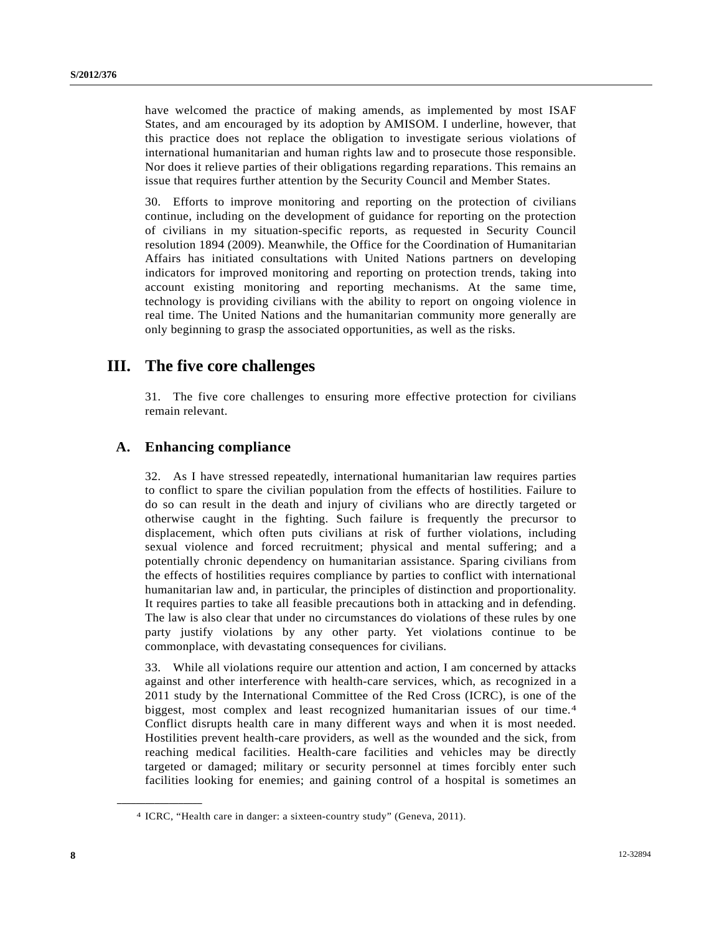have welcomed the practice of making amends, as implemented by most ISAF States, and am encouraged by its adoption by AMISOM. I underline, however, that this practice does not replace the obligation to investigate serious violations of international humanitarian and human rights law and to prosecute those responsible. Nor does it relieve parties of their obligations regarding reparations. This remains an issue that requires further attention by the Security Council and Member States.

30. Efforts to improve monitoring and reporting on the protection of civilians continue, including on the development of guidance for reporting on the protection of civilians in my situation-specific reports, as requested in Security Council resolution 1894 (2009). Meanwhile, the Office for the Coordination of Humanitarian Affairs has initiated consultations with United Nations partners on developing indicators for improved monitoring and reporting on protection trends, taking into account existing monitoring and reporting mechanisms. At the same time, technology is providing civilians with the ability to report on ongoing violence in real time. The United Nations and the humanitarian community more generally are only beginning to grasp the associated opportunities, as well as the risks.

# **III. The five core challenges**

31. The five core challenges to ensuring more effective protection for civilians remain relevant.

## **A. Enhancing compliance**

32. As I have stressed repeatedly, international humanitarian law requires parties to conflict to spare the civilian population from the effects of hostilities. Failure to do so can result in the death and injury of civilians who are directly targeted or otherwise caught in the fighting. Such failure is frequently the precursor to displacement, which often puts civilians at risk of further violations, including sexual violence and forced recruitment; physical and mental suffering; and a potentially chronic dependency on humanitarian assistance. Sparing civilians from the effects of hostilities requires compliance by parties to conflict with international humanitarian law and, in particular, the principles of distinction and proportionality. It requires parties to take all feasible precautions both in attacking and in defending. The law is also clear that under no circumstances do violations of these rules by one party justify violations by any other party. Yet violations continue to be commonplace, with devastating consequences for civilians.

33. While all violations require our attention and action, I am concerned by attacks against and other interference with health-care services, which, as recognized in a 2011 study by the International Committee of the Red Cross (ICRC), is one of the biggest, most complex and least recognized humanitarian issues of our time.[4](#page-7-0) Conflict disrupts health care in many different ways and when it is most needed. Hostilities prevent health-care providers, as well as the wounded and the sick, from reaching medical facilities. Health-care facilities and vehicles may be directly targeted or damaged; military or security personnel at times forcibly enter such facilities looking for enemies; and gaining control of a hospital is sometimes an

<span id="page-7-0"></span><sup>4</sup> ICRC, "Health care in danger: a sixteen-country study" (Geneva, 2011).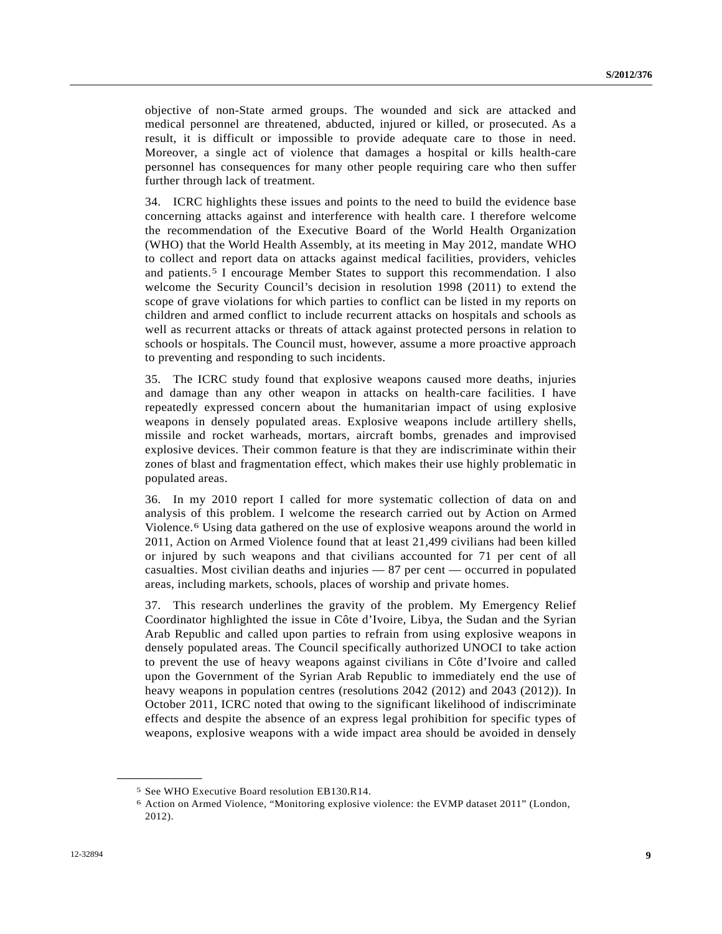objective of non-State armed groups. The wounded and sick are attacked and medical personnel are threatened, abducted, injured or killed, or prosecuted. As a result, it is difficult or impossible to provide adequate care to those in need. Moreover, a single act of violence that damages a hospital or kills health-care personnel has consequences for many other people requiring care who then suffer further through lack of treatment.

34. ICRC highlights these issues and points to the need to build the evidence base concerning attacks against and interference with health care. I therefore welcome the recommendation of the Executive Board of the World Health Organization (WHO) that the World Health Assembly, at its meeting in May 2012, mandate WHO to collect and report data on attacks against medical facilities, providers, vehicles and patients.[5](#page-8-0) I encourage Member States to support this recommendation. I also welcome the Security Council's decision in resolution 1998 (2011) to extend the scope of grave violations for which parties to conflict can be listed in my reports on children and armed conflict to include recurrent attacks on hospitals and schools as well as recurrent attacks or threats of attack against protected persons in relation to schools or hospitals. The Council must, however, assume a more proactive approach to preventing and responding to such incidents.

35. The ICRC study found that explosive weapons caused more deaths, injuries and damage than any other weapon in attacks on health-care facilities. I have repeatedly expressed concern about the humanitarian impact of using explosive weapons in densely populated areas. Explosive weapons include artillery shells, missile and rocket warheads, mortars, aircraft bombs, grenades and improvised explosive devices. Their common feature is that they are indiscriminate within their zones of blast and fragmentation effect, which makes their use highly problematic in populated areas.

36. In my 2010 report I called for more systematic collection of data on and analysis of this problem. I welcome the research carried out by Action on Armed Violence.[6](#page-8-1) Using data gathered on the use of explosive weapons around the world in 2011, Action on Armed Violence found that at least 21,499 civilians had been killed or injured by such weapons and that civilians accounted for 71 per cent of all casualties. Most civilian deaths and injuries — 87 per cent — occurred in populated areas, including markets, schools, places of worship and private homes.

37. This research underlines the gravity of the problem. My Emergency Relief Coordinator highlighted the issue in Côte d'Ivoire, Libya, the Sudan and the Syrian Arab Republic and called upon parties to refrain from using explosive weapons in densely populated areas. The Council specifically authorized UNOCI to take action to prevent the use of heavy weapons against civilians in Côte d'Ivoire and called upon the Government of the Syrian Arab Republic to immediately end the use of heavy weapons in population centres (resolutions 2042 (2012) and 2043 (2012)). In October 2011, ICRC noted that owing to the significant likelihood of indiscriminate effects and despite the absence of an express legal prohibition for specific types of weapons, explosive weapons with a wide impact area should be avoided in densely

<span id="page-8-1"></span>

<span id="page-8-0"></span><sup>5</sup> See WHO Executive Board resolution EB130.R14. 6 Action on Armed Violence, "Monitoring explosive violence: the EVMP dataset 2011" (London, 2012).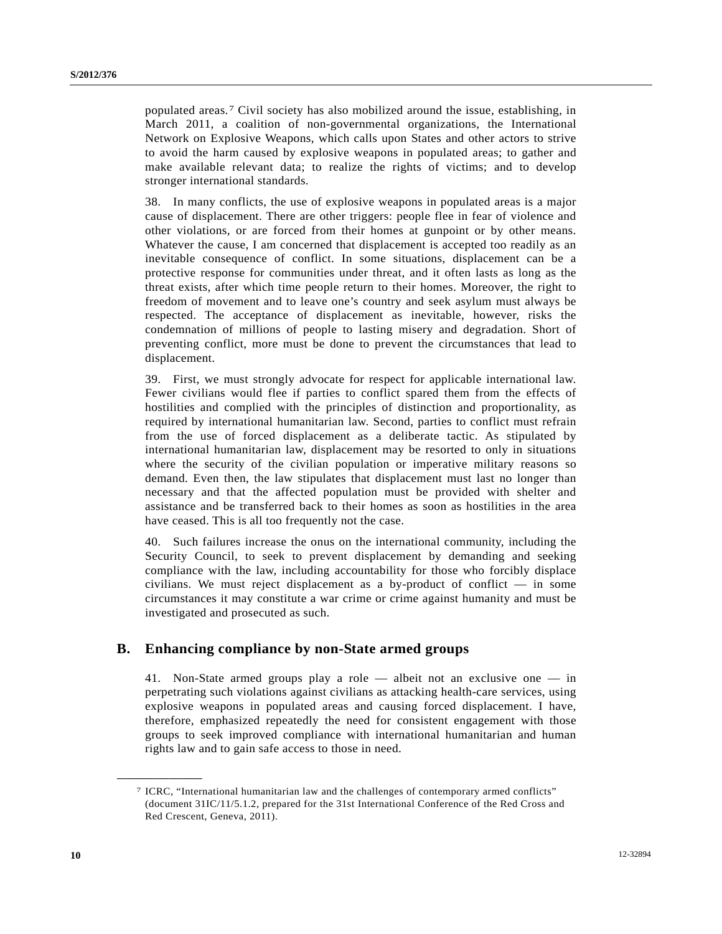populated areas.[7](#page-9-0) Civil society has also mobilized around the issue, establishing, in March 2011, a coalition of non-governmental organizations, the International Network on Explosive Weapons, which calls upon States and other actors to strive to avoid the harm caused by explosive weapons in populated areas; to gather and make available relevant data; to realize the rights of victims; and to develop stronger international standards.

38. In many conflicts, the use of explosive weapons in populated areas is a major cause of displacement. There are other triggers: people flee in fear of violence and other violations, or are forced from their homes at gunpoint or by other means. Whatever the cause, I am concerned that displacement is accepted too readily as an inevitable consequence of conflict. In some situations, displacement can be a protective response for communities under threat, and it often lasts as long as the threat exists, after which time people return to their homes. Moreover, the right to freedom of movement and to leave one's country and seek asylum must always be respected. The acceptance of displacement as inevitable, however, risks the condemnation of millions of people to lasting misery and degradation. Short of preventing conflict, more must be done to prevent the circumstances that lead to displacement.

39. First, we must strongly advocate for respect for applicable international law. Fewer civilians would flee if parties to conflict spared them from the effects of hostilities and complied with the principles of distinction and proportionality, as required by international humanitarian law. Second, parties to conflict must refrain from the use of forced displacement as a deliberate tactic. As stipulated by international humanitarian law, displacement may be resorted to only in situations where the security of the civilian population or imperative military reasons so demand. Even then, the law stipulates that displacement must last no longer than necessary and that the affected population must be provided with shelter and assistance and be transferred back to their homes as soon as hostilities in the area have ceased. This is all too frequently not the case.

40. Such failures increase the onus on the international community, including the Security Council, to seek to prevent displacement by demanding and seeking compliance with the law, including accountability for those who forcibly displace civilians. We must reject displacement as a by-product of conflict  $-$  in some circumstances it may constitute a war crime or crime against humanity and must be investigated and prosecuted as such.

### **B. Enhancing compliance by non-State armed groups**

41. Non-State armed groups play a role — albeit not an exclusive one — in perpetrating such violations against civilians as attacking health-care services, using explosive weapons in populated areas and causing forced displacement. I have, therefore, emphasized repeatedly the need for consistent engagement with those groups to seek improved compliance with international humanitarian and human rights law and to gain safe access to those in need.

<span id="page-9-0"></span><sup>7</sup> ICRC, "International humanitarian law and the challenges of contemporary armed conflicts" (document 31IC/11/5.1.2, prepared for the 31st International Conference of the Red Cross and Red Crescent, Geneva, 2011).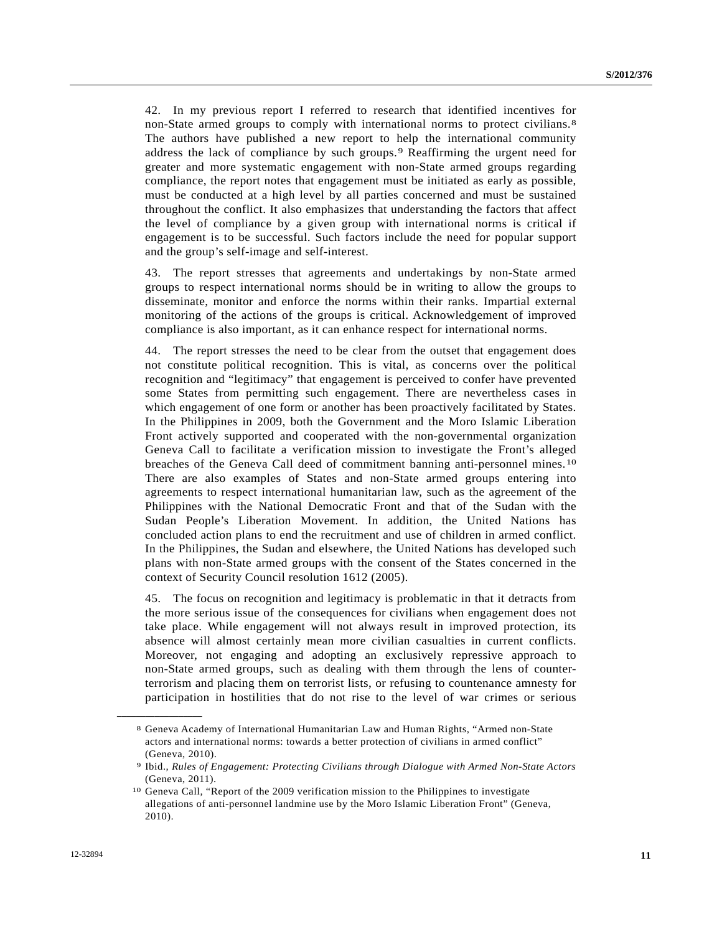42. In my previous report I referred to research that identified incentives for non-State armed groups to comply with international norms to protect civilians.<sup>[8](#page-10-0)</sup> The authors have published a new report to help the international community address the lack of compliance by such groups.[9](#page-10-1) Reaffirming the urgent need for greater and more systematic engagement with non-State armed groups regarding compliance, the report notes that engagement must be initiated as early as possible, must be conducted at a high level by all parties concerned and must be sustained throughout the conflict. It also emphasizes that understanding the factors that affect the level of compliance by a given group with international norms is critical if engagement is to be successful. Such factors include the need for popular support and the group's self-image and self-interest.

43. The report stresses that agreements and undertakings by non-State armed groups to respect international norms should be in writing to allow the groups to disseminate, monitor and enforce the norms within their ranks. Impartial external monitoring of the actions of the groups is critical. Acknowledgement of improved compliance is also important, as it can enhance respect for international norms.

44. The report stresses the need to be clear from the outset that engagement does not constitute political recognition. This is vital, as concerns over the political recognition and "legitimacy" that engagement is perceived to confer have prevented some States from permitting such engagement. There are nevertheless cases in which engagement of one form or another has been proactively facilitated by States. In the Philippines in 2009, both the Government and the Moro Islamic Liberation Front actively supported and cooperated with the non-governmental organization Geneva Call to facilitate a verification mission to investigate the Front's alleged breaches of the Geneva Call deed of commitment banning anti-personnel mines.[10](#page-10-2) There are also examples of States and non-State armed groups entering into agreements to respect international humanitarian law, such as the agreement of the Philippines with the National Democratic Front and that of the Sudan with the Sudan People's Liberation Movement. In addition, the United Nations has concluded action plans to end the recruitment and use of children in armed conflict. In the Philippines, the Sudan and elsewhere, the United Nations has developed such plans with non-State armed groups with the consent of the States concerned in the context of Security Council resolution 1612 (2005).

45. The focus on recognition and legitimacy is problematic in that it detracts from the more serious issue of the consequences for civilians when engagement does not take place. While engagement will not always result in improved protection, its absence will almost certainly mean more civilian casualties in current conflicts. Moreover, not engaging and adopting an exclusively repressive approach to non-State armed groups, such as dealing with them through the lens of counterterrorism and placing them on terrorist lists, or refusing to countenance amnesty for participation in hostilities that do not rise to the level of war crimes or serious

<span id="page-10-0"></span><sup>8</sup> Geneva Academy of International Humanitarian Law and Human Rights, "Armed non-State actors and international norms: towards a better protection of civilians in armed conflict" (Geneva, 2010).

<sup>9</sup> Ibid., *Rules of Engagement: Protecting Civilians through Dialogue with Armed Non-State Actors* (Geneva, 2011).

<span id="page-10-2"></span><span id="page-10-1"></span><sup>10</sup> Geneva Call, "Report of the 2009 verification mission to the Philippines to investigate allegations of anti-personnel landmine use by the Moro Islamic Liberation Front" (Geneva, 2010).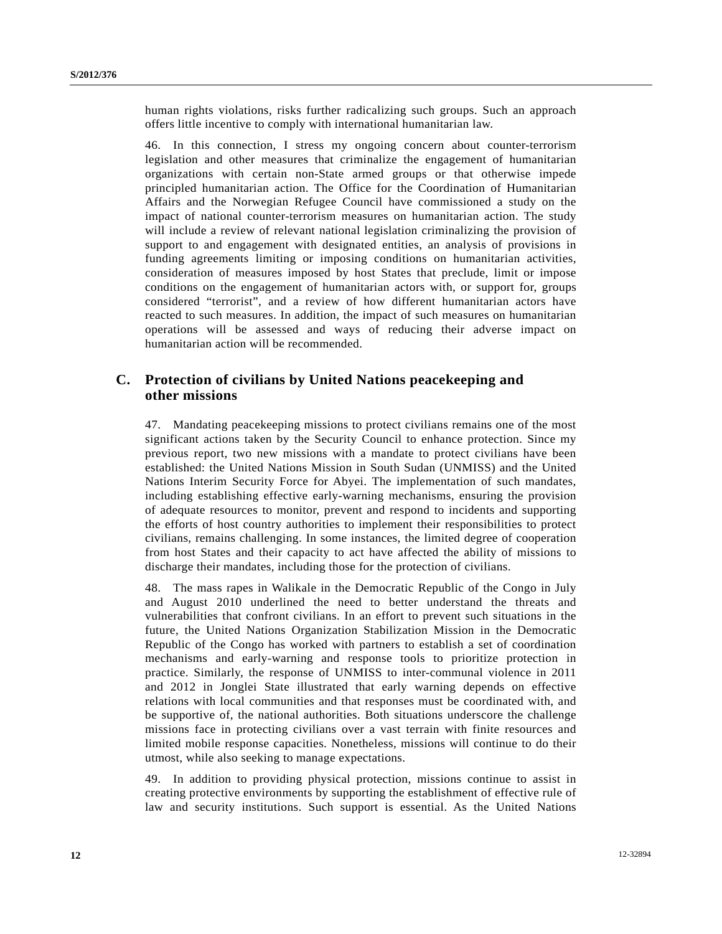human rights violations, risks further radicalizing such groups. Such an approach offers little incentive to comply with international humanitarian law.

46. In this connection, I stress my ongoing concern about counter-terrorism legislation and other measures that criminalize the engagement of humanitarian organizations with certain non-State armed groups or that otherwise impede principled humanitarian action. The Office for the Coordination of Humanitarian Affairs and the Norwegian Refugee Council have commissioned a study on the impact of national counter-terrorism measures on humanitarian action. The study will include a review of relevant national legislation criminalizing the provision of support to and engagement with designated entities, an analysis of provisions in funding agreements limiting or imposing conditions on humanitarian activities, consideration of measures imposed by host States that preclude, limit or impose conditions on the engagement of humanitarian actors with, or support for, groups considered "terrorist", and a review of how different humanitarian actors have reacted to such measures. In addition, the impact of such measures on humanitarian operations will be assessed and ways of reducing their adverse impact on humanitarian action will be recommended.

## **C. Protection of civilians by United Nations peacekeeping and other missions**

47. Mandating peacekeeping missions to protect civilians remains one of the most significant actions taken by the Security Council to enhance protection. Since my previous report, two new missions with a mandate to protect civilians have been established: the United Nations Mission in South Sudan (UNMISS) and the United Nations Interim Security Force for Abyei. The implementation of such mandates, including establishing effective early-warning mechanisms, ensuring the provision of adequate resources to monitor, prevent and respond to incidents and supporting the efforts of host country authorities to implement their responsibilities to protect civilians, remains challenging. In some instances, the limited degree of cooperation from host States and their capacity to act have affected the ability of missions to discharge their mandates, including those for the protection of civilians.

48. The mass rapes in Walikale in the Democratic Republic of the Congo in July and August 2010 underlined the need to better understand the threats and vulnerabilities that confront civilians. In an effort to prevent such situations in the future, the United Nations Organization Stabilization Mission in the Democratic Republic of the Congo has worked with partners to establish a set of coordination mechanisms and early-warning and response tools to prioritize protection in practice. Similarly, the response of UNMISS to inter-communal violence in 2011 and 2012 in Jonglei State illustrated that early warning depends on effective relations with local communities and that responses must be coordinated with, and be supportive of, the national authorities. Both situations underscore the challenge missions face in protecting civilians over a vast terrain with finite resources and limited mobile response capacities. Nonetheless, missions will continue to do their utmost, while also seeking to manage expectations.

49. In addition to providing physical protection, missions continue to assist in creating protective environments by supporting the establishment of effective rule of law and security institutions. Such support is essential. As the United Nations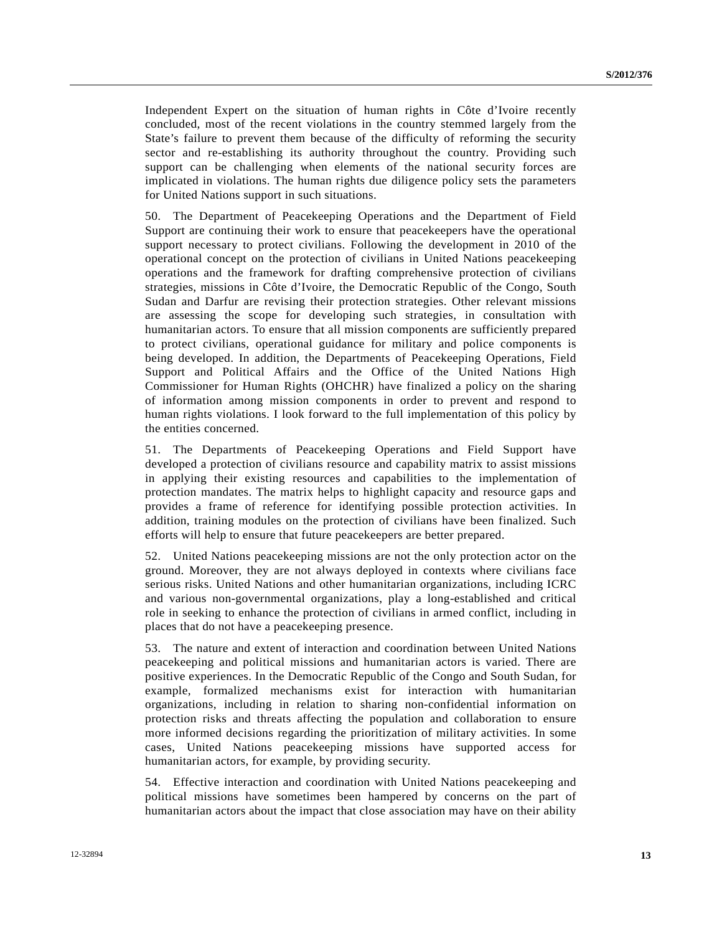Independent Expert on the situation of human rights in Côte d'Ivoire recently concluded, most of the recent violations in the country stemmed largely from the State's failure to prevent them because of the difficulty of reforming the security sector and re-establishing its authority throughout the country. Providing such support can be challenging when elements of the national security forces are implicated in violations. The human rights due diligence policy sets the parameters for United Nations support in such situations.

50. The Department of Peacekeeping Operations and the Department of Field Support are continuing their work to ensure that peacekeepers have the operational support necessary to protect civilians. Following the development in 2010 of the operational concept on the protection of civilians in United Nations peacekeeping operations and the framework for drafting comprehensive protection of civilians strategies, missions in Côte d'Ivoire, the Democratic Republic of the Congo, South Sudan and Darfur are revising their protection strategies. Other relevant missions are assessing the scope for developing such strategies, in consultation with humanitarian actors. To ensure that all mission components are sufficiently prepared to protect civilians, operational guidance for military and police components is being developed. In addition, the Departments of Peacekeeping Operations, Field Support and Political Affairs and the Office of the United Nations High Commissioner for Human Rights (OHCHR) have finalized a policy on the sharing of information among mission components in order to prevent and respond to human rights violations. I look forward to the full implementation of this policy by the entities concerned.

51. The Departments of Peacekeeping Operations and Field Support have developed a protection of civilians resource and capability matrix to assist missions in applying their existing resources and capabilities to the implementation of protection mandates. The matrix helps to highlight capacity and resource gaps and provides a frame of reference for identifying possible protection activities. In addition, training modules on the protection of civilians have been finalized. Such efforts will help to ensure that future peacekeepers are better prepared.

52. United Nations peacekeeping missions are not the only protection actor on the ground. Moreover, they are not always deployed in contexts where civilians face serious risks. United Nations and other humanitarian organizations, including ICRC and various non-governmental organizations, play a long-established and critical role in seeking to enhance the protection of civilians in armed conflict, including in places that do not have a peacekeeping presence.

53. The nature and extent of interaction and coordination between United Nations peacekeeping and political missions and humanitarian actors is varied. There are positive experiences. In the Democratic Republic of the Congo and South Sudan, for example, formalized mechanisms exist for interaction with humanitarian organizations, including in relation to sharing non-confidential information on protection risks and threats affecting the population and collaboration to ensure more informed decisions regarding the prioritization of military activities. In some cases, United Nations peacekeeping missions have supported access for humanitarian actors, for example, by providing security.

54. Effective interaction and coordination with United Nations peacekeeping and political missions have sometimes been hampered by concerns on the part of humanitarian actors about the impact that close association may have on their ability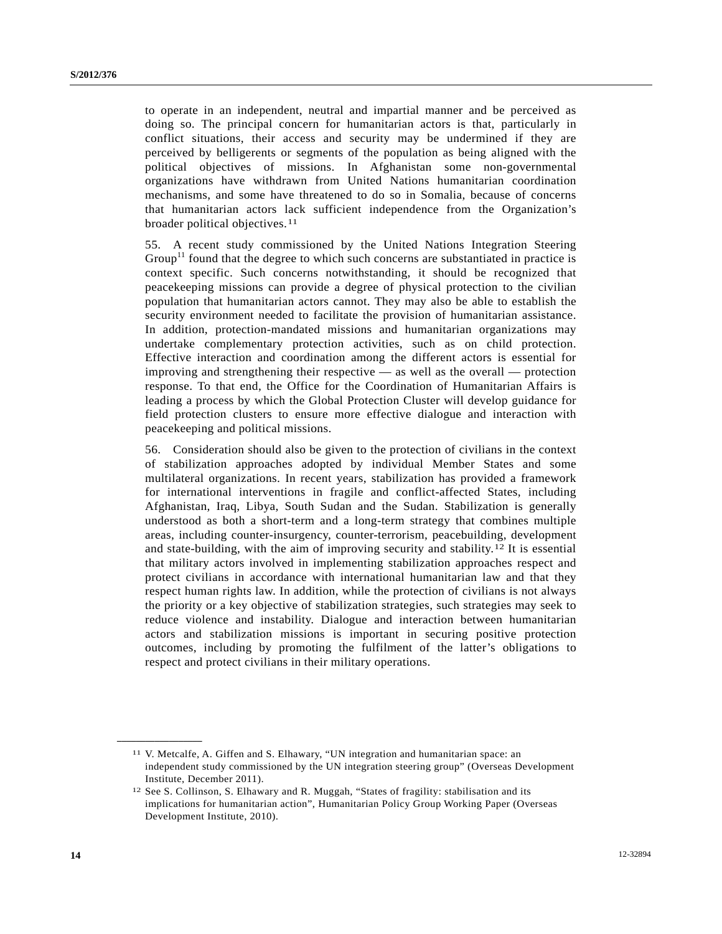<span id="page-13-1"></span>to operate in an independent, neutral and impartial manner and be perceived as doing so. The principal concern for humanitarian actors is that, particularly in conflict situations, their access and security may be undermined if they are perceived by belligerents or segments of the population as being aligned with the political objectives of missions. In Afghanistan some non-governmental organizations have withdrawn from United Nations humanitarian coordination mechanisms, and some have threatened to do so in Somalia, because of concerns that humanitarian actors lack sufficient independence from the Organization's broader political objectives.[1](#page-13-0)1

55. A recent study commissioned by the United Nations Integration Steering Group<sup>[11](#page-13-1)</sup> found that the degree to which such concerns are substantiated in practice is context specific. Such concerns notwithstanding, it should be recognized that peacekeeping missions can provide a degree of physical protection to the civilian population that humanitarian actors cannot. They may also be able to establish the security environment needed to facilitate the provision of humanitarian assistance. In addition, protection-mandated missions and humanitarian organizations may undertake complementary protection activities, such as on child protection. Effective interaction and coordination among the different actors is essential for improving and strengthening their respective — as well as the overall — protection response. To that end, the Office for the Coordination of Humanitarian Affairs is leading a process by which the Global Protection Cluster will develop guidance for field protection clusters to ensure more effective dialogue and interaction with peacekeeping and political missions.

56. Consideration should also be given to the protection of civilians in the context of stabilization approaches adopted by individual Member States and some multilateral organizations. In recent years, stabilization has provided a framework for international interventions in fragile and conflict-affected States, including Afghanistan, Iraq, Libya, South Sudan and the Sudan. Stabilization is generally understood as both a short-term and a long-term strategy that combines multiple areas, including counter-insurgency, counter-terrorism, peacebuilding, development and state-building, with the aim of improving security and stability.[12](#page-13-2) It is essential that military actors involved in implementing stabilization approaches respect and protect civilians in accordance with international humanitarian law and that they respect human rights law. In addition, while the protection of civilians is not always the priority or a key objective of stabilization strategies, such strategies may seek to reduce violence and instability. Dialogue and interaction between humanitarian actors and stabilization missions is important in securing positive protection outcomes, including by promoting the fulfilment of the latter's obligations to respect and protect civilians in their military operations.

<span id="page-13-0"></span><sup>11</sup> V. Metcalfe, A. Giffen and S. Elhawary, "UN integration and humanitarian space: an independent study commissioned by the UN integration steering group" (Overseas Development Institute, December 2011).

<span id="page-13-2"></span><sup>12</sup> See S. Collinson, S. Elhawary and R. Muggah, "States of fragility: stabilisation and its implications for humanitarian action", Humanitarian Policy Group Working Paper (Overseas Development Institute, 2010).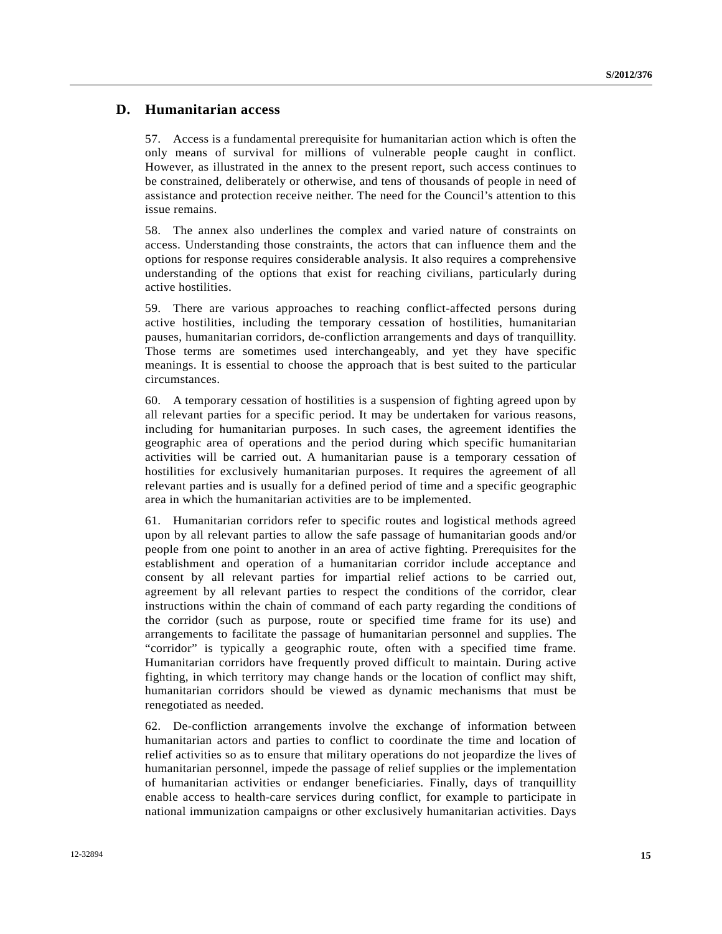### **D. Humanitarian access**

57. Access is a fundamental prerequisite for humanitarian action which is often the only means of survival for millions of vulnerable people caught in conflict. However, as illustrated in the annex to the present report, such access continues to be constrained, deliberately or otherwise, and tens of thousands of people in need of assistance and protection receive neither. The need for the Council's attention to this issue remains.

58. The annex also underlines the complex and varied nature of constraints on access. Understanding those constraints, the actors that can influence them and the options for response requires considerable analysis. It also requires a comprehensive understanding of the options that exist for reaching civilians, particularly during active hostilities.

59. There are various approaches to reaching conflict-affected persons during active hostilities, including the temporary cessation of hostilities, humanitarian pauses, humanitarian corridors, de-confliction arrangements and days of tranquillity. Those terms are sometimes used interchangeably, and yet they have specific meanings. It is essential to choose the approach that is best suited to the particular circumstances.

60. A temporary cessation of hostilities is a suspension of fighting agreed upon by all relevant parties for a specific period. It may be undertaken for various reasons, including for humanitarian purposes. In such cases, the agreement identifies the geographic area of operations and the period during which specific humanitarian activities will be carried out. A humanitarian pause is a temporary cessation of hostilities for exclusively humanitarian purposes. It requires the agreement of all relevant parties and is usually for a defined period of time and a specific geographic area in which the humanitarian activities are to be implemented.

61. Humanitarian corridors refer to specific routes and logistical methods agreed upon by all relevant parties to allow the safe passage of humanitarian goods and/or people from one point to another in an area of active fighting. Prerequisites for the establishment and operation of a humanitarian corridor include acceptance and consent by all relevant parties for impartial relief actions to be carried out, agreement by all relevant parties to respect the conditions of the corridor, clear instructions within the chain of command of each party regarding the conditions of the corridor (such as purpose, route or specified time frame for its use) and arrangements to facilitate the passage of humanitarian personnel and supplies. The "corridor" is typically a geographic route, often with a specified time frame. Humanitarian corridors have frequently proved difficult to maintain. During active fighting, in which territory may change hands or the location of conflict may shift, humanitarian corridors should be viewed as dynamic mechanisms that must be renegotiated as needed.

62. De-confliction arrangements involve the exchange of information between humanitarian actors and parties to conflict to coordinate the time and location of relief activities so as to ensure that military operations do not jeopardize the lives of humanitarian personnel, impede the passage of relief supplies or the implementation of humanitarian activities or endanger beneficiaries. Finally, days of tranquillity enable access to health-care services during conflict, for example to participate in national immunization campaigns or other exclusively humanitarian activities. Days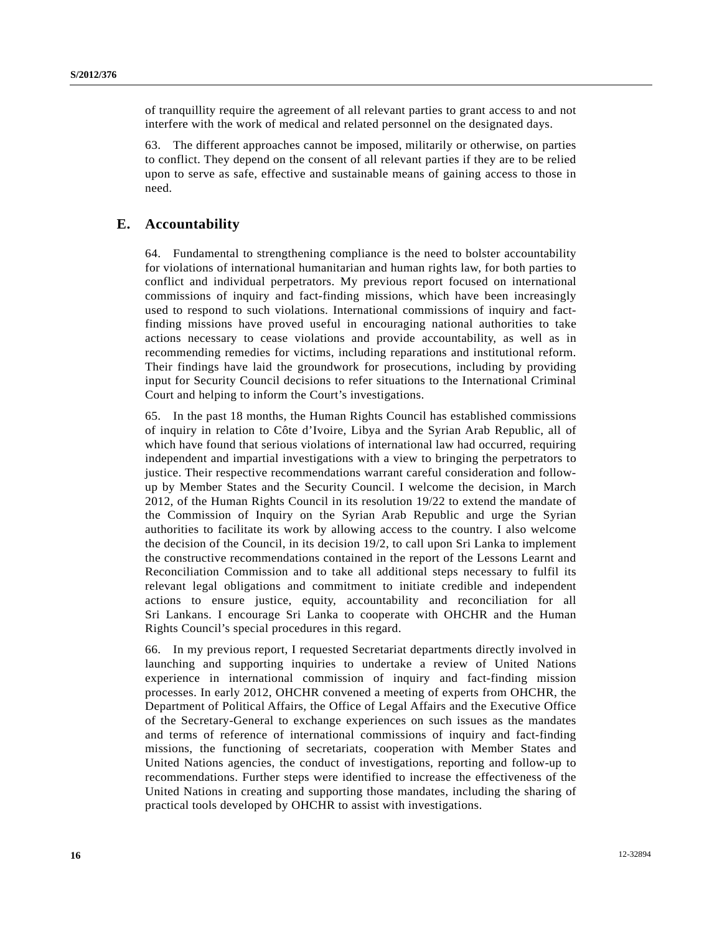of tranquillity require the agreement of all relevant parties to grant access to and not interfere with the work of medical and related personnel on the designated days.

63. The different approaches cannot be imposed, militarily or otherwise, on parties to conflict. They depend on the consent of all relevant parties if they are to be relied upon to serve as safe, effective and sustainable means of gaining access to those in need.

## **E. Accountability**

64. Fundamental to strengthening compliance is the need to bolster accountability for violations of international humanitarian and human rights law, for both parties to conflict and individual perpetrators. My previous report focused on international commissions of inquiry and fact-finding missions, which have been increasingly used to respond to such violations. International commissions of inquiry and factfinding missions have proved useful in encouraging national authorities to take actions necessary to cease violations and provide accountability, as well as in recommending remedies for victims, including reparations and institutional reform. Their findings have laid the groundwork for prosecutions, including by providing input for Security Council decisions to refer situations to the International Criminal Court and helping to inform the Court's investigations.

65. In the past 18 months, the Human Rights Council has established commissions of inquiry in relation to Côte d'Ivoire, Libya and the Syrian Arab Republic, all of which have found that serious violations of international law had occurred, requiring independent and impartial investigations with a view to bringing the perpetrators to justice. Their respective recommendations warrant careful consideration and followup by Member States and the Security Council. I welcome the decision, in March 2012, of the Human Rights Council in its resolution 19/22 to extend the mandate of the Commission of Inquiry on the Syrian Arab Republic and urge the Syrian authorities to facilitate its work by allowing access to the country. I also welcome the decision of the Council, in its decision 19/2, to call upon Sri Lanka to implement the constructive recommendations contained in the report of the Lessons Learnt and Reconciliation Commission and to take all additional steps necessary to fulfil its relevant legal obligations and commitment to initiate credible and independent actions to ensure justice, equity, accountability and reconciliation for all Sri Lankans. I encourage Sri Lanka to cooperate with OHCHR and the Human Rights Council's special procedures in this regard.

66. In my previous report, I requested Secretariat departments directly involved in launching and supporting inquiries to undertake a review of United Nations experience in international commission of inquiry and fact-finding mission processes. In early 2012, OHCHR convened a meeting of experts from OHCHR, the Department of Political Affairs, the Office of Legal Affairs and the Executive Office of the Secretary-General to exchange experiences on such issues as the mandates and terms of reference of international commissions of inquiry and fact-finding missions, the functioning of secretariats, cooperation with Member States and United Nations agencies, the conduct of investigations, reporting and follow-up to recommendations. Further steps were identified to increase the effectiveness of the United Nations in creating and supporting those mandates, including the sharing of practical tools developed by OHCHR to assist with investigations.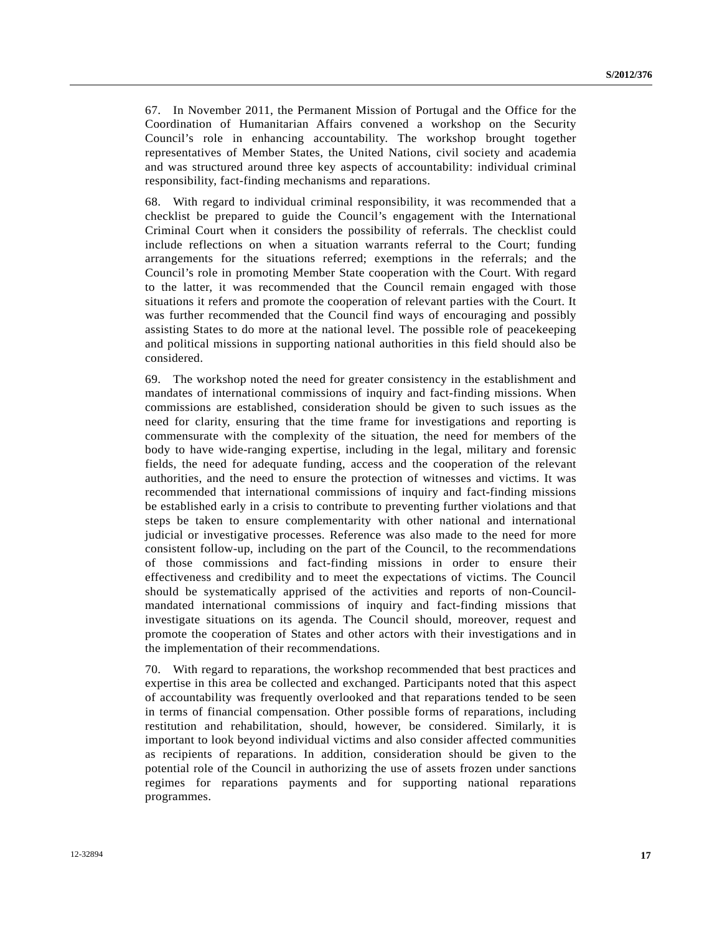67. In November 2011, the Permanent Mission of Portugal and the Office for the Coordination of Humanitarian Affairs convened a workshop on the Security Council's role in enhancing accountability. The workshop brought together representatives of Member States, the United Nations, civil society and academia and was structured around three key aspects of accountability: individual criminal responsibility, fact-finding mechanisms and reparations.

68. With regard to individual criminal responsibility, it was recommended that a checklist be prepared to guide the Council's engagement with the International Criminal Court when it considers the possibility of referrals. The checklist could include reflections on when a situation warrants referral to the Court; funding arrangements for the situations referred; exemptions in the referrals; and the Council's role in promoting Member State cooperation with the Court. With regard to the latter, it was recommended that the Council remain engaged with those situations it refers and promote the cooperation of relevant parties with the Court. It was further recommended that the Council find ways of encouraging and possibly assisting States to do more at the national level. The possible role of peacekeeping and political missions in supporting national authorities in this field should also be considered.

69. The workshop noted the need for greater consistency in the establishment and mandates of international commissions of inquiry and fact-finding missions. When commissions are established, consideration should be given to such issues as the need for clarity, ensuring that the time frame for investigations and reporting is commensurate with the complexity of the situation, the need for members of the body to have wide-ranging expertise, including in the legal, military and forensic fields, the need for adequate funding, access and the cooperation of the relevant authorities, and the need to ensure the protection of witnesses and victims. It was recommended that international commissions of inquiry and fact-finding missions be established early in a crisis to contribute to preventing further violations and that steps be taken to ensure complementarity with other national and international judicial or investigative processes. Reference was also made to the need for more consistent follow-up, including on the part of the Council, to the recommendations of those commissions and fact-finding missions in order to ensure their effectiveness and credibility and to meet the expectations of victims. The Council should be systematically apprised of the activities and reports of non-Councilmandated international commissions of inquiry and fact-finding missions that investigate situations on its agenda. The Council should, moreover, request and promote the cooperation of States and other actors with their investigations and in the implementation of their recommendations.

70. With regard to reparations, the workshop recommended that best practices and expertise in this area be collected and exchanged. Participants noted that this aspect of accountability was frequently overlooked and that reparations tended to be seen in terms of financial compensation. Other possible forms of reparations, including restitution and rehabilitation, should, however, be considered. Similarly, it is important to look beyond individual victims and also consider affected communities as recipients of reparations. In addition, consideration should be given to the potential role of the Council in authorizing the use of assets frozen under sanctions regimes for reparations payments and for supporting national reparations programmes.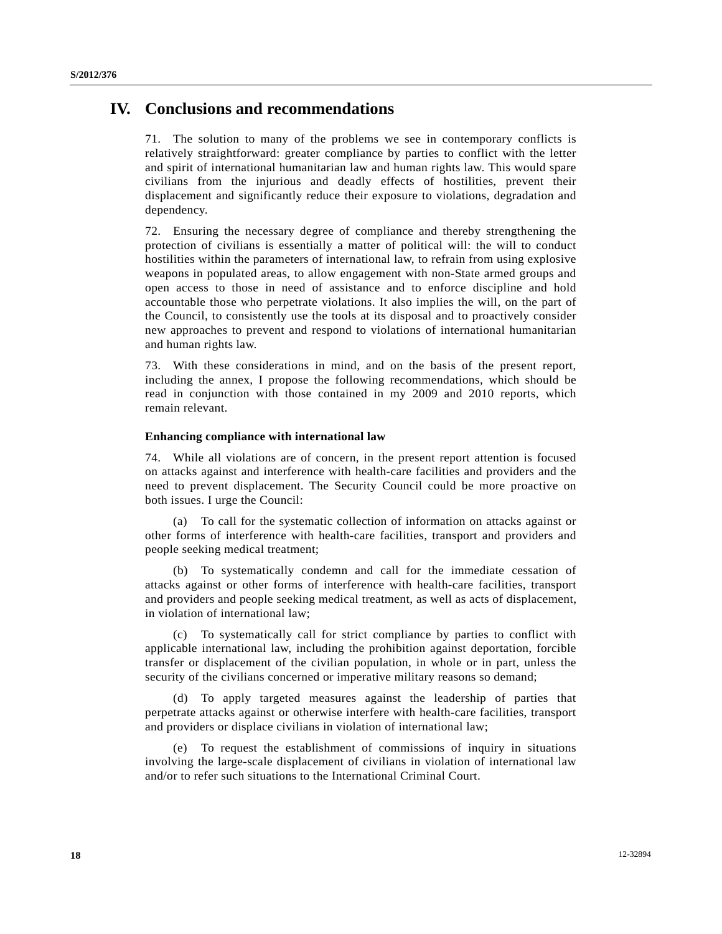# **IV. Conclusions and recommendations**

71. The solution to many of the problems we see in contemporary conflicts is relatively straightforward: greater compliance by parties to conflict with the letter and spirit of international humanitarian law and human rights law. This would spare civilians from the injurious and deadly effects of hostilities, prevent their displacement and significantly reduce their exposure to violations, degradation and dependency.

72. Ensuring the necessary degree of compliance and thereby strengthening the protection of civilians is essentially a matter of political will: the will to conduct hostilities within the parameters of international law, to refrain from using explosive weapons in populated areas, to allow engagement with non-State armed groups and open access to those in need of assistance and to enforce discipline and hold accountable those who perpetrate violations. It also implies the will, on the part of the Council, to consistently use the tools at its disposal and to proactively consider new approaches to prevent and respond to violations of international humanitarian and human rights law.

73. With these considerations in mind, and on the basis of the present report, including the annex, I propose the following recommendations, which should be read in conjunction with those contained in my 2009 and 2010 reports, which remain relevant.

#### **Enhancing compliance with international law**

74. While all violations are of concern, in the present report attention is focused on attacks against and interference with health-care facilities and providers and the need to prevent displacement. The Security Council could be more proactive on both issues. I urge the Council:

 (a) To call for the systematic collection of information on attacks against or other forms of interference with health-care facilities, transport and providers and people seeking medical treatment;

 (b) To systematically condemn and call for the immediate cessation of attacks against or other forms of interference with health-care facilities, transport and providers and people seeking medical treatment, as well as acts of displacement, in violation of international law;

 (c) To systematically call for strict compliance by parties to conflict with applicable international law, including the prohibition against deportation, forcible transfer or displacement of the civilian population, in whole or in part, unless the security of the civilians concerned or imperative military reasons so demand;

 (d) To apply targeted measures against the leadership of parties that perpetrate attacks against or otherwise interfere with health-care facilities, transport and providers or displace civilians in violation of international law;

 (e) To request the establishment of commissions of inquiry in situations involving the large-scale displacement of civilians in violation of international law and/or to refer such situations to the International Criminal Court.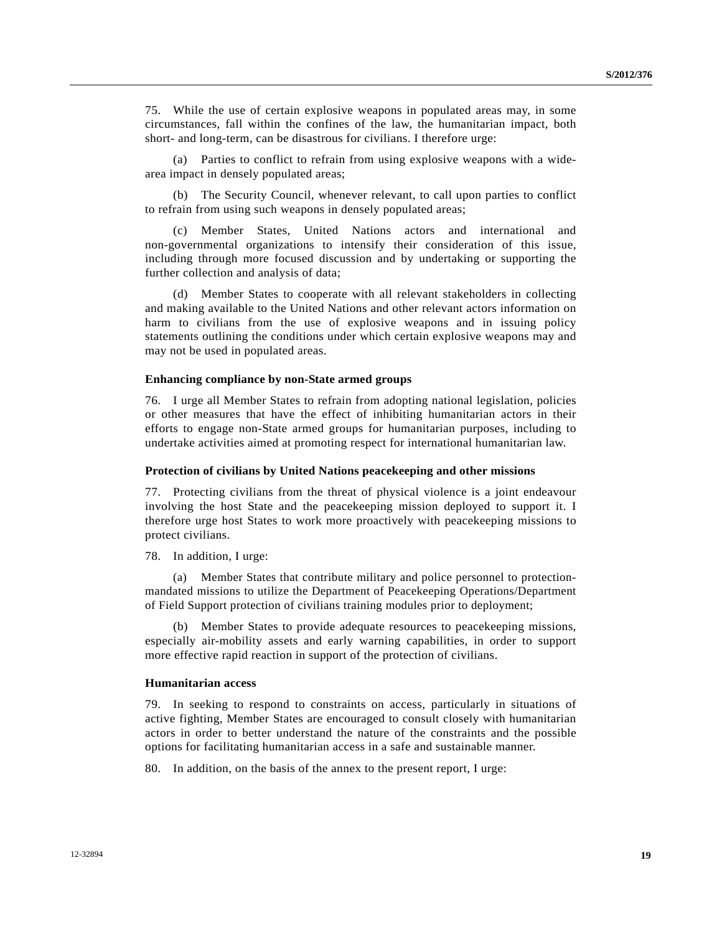75. While the use of certain explosive weapons in populated areas may, in some circumstances, fall within the confines of the law, the humanitarian impact, both short- and long-term, can be disastrous for civilians. I therefore urge:

 (a) Parties to conflict to refrain from using explosive weapons with a widearea impact in densely populated areas;

 (b) The Security Council, whenever relevant, to call upon parties to conflict to refrain from using such weapons in densely populated areas;

 (c) Member States, United Nations actors and international and non-governmental organizations to intensify their consideration of this issue, including through more focused discussion and by undertaking or supporting the further collection and analysis of data;

 (d) Member States to cooperate with all relevant stakeholders in collecting and making available to the United Nations and other relevant actors information on harm to civilians from the use of explosive weapons and in issuing policy statements outlining the conditions under which certain explosive weapons may and may not be used in populated areas.

#### **Enhancing compliance by non-State armed groups**

76. I urge all Member States to refrain from adopting national legislation, policies or other measures that have the effect of inhibiting humanitarian actors in their efforts to engage non-State armed groups for humanitarian purposes, including to undertake activities aimed at promoting respect for international humanitarian law.

#### **Protection of civilians by United Nations peacekeeping and other missions**

77. Protecting civilians from the threat of physical violence is a joint endeavour involving the host State and the peacekeeping mission deployed to support it. I therefore urge host States to work more proactively with peacekeeping missions to protect civilians.

78. In addition, I urge:

 (a) Member States that contribute military and police personnel to protectionmandated missions to utilize the Department of Peacekeeping Operations/Department of Field Support protection of civilians training modules prior to deployment;

 (b) Member States to provide adequate resources to peacekeeping missions, especially air-mobility assets and early warning capabilities, in order to support more effective rapid reaction in support of the protection of civilians.

#### **Humanitarian access**

79. In seeking to respond to constraints on access, particularly in situations of active fighting, Member States are encouraged to consult closely with humanitarian actors in order to better understand the nature of the constraints and the possible options for facilitating humanitarian access in a safe and sustainable manner.

80. In addition, on the basis of the annex to the present report, I urge: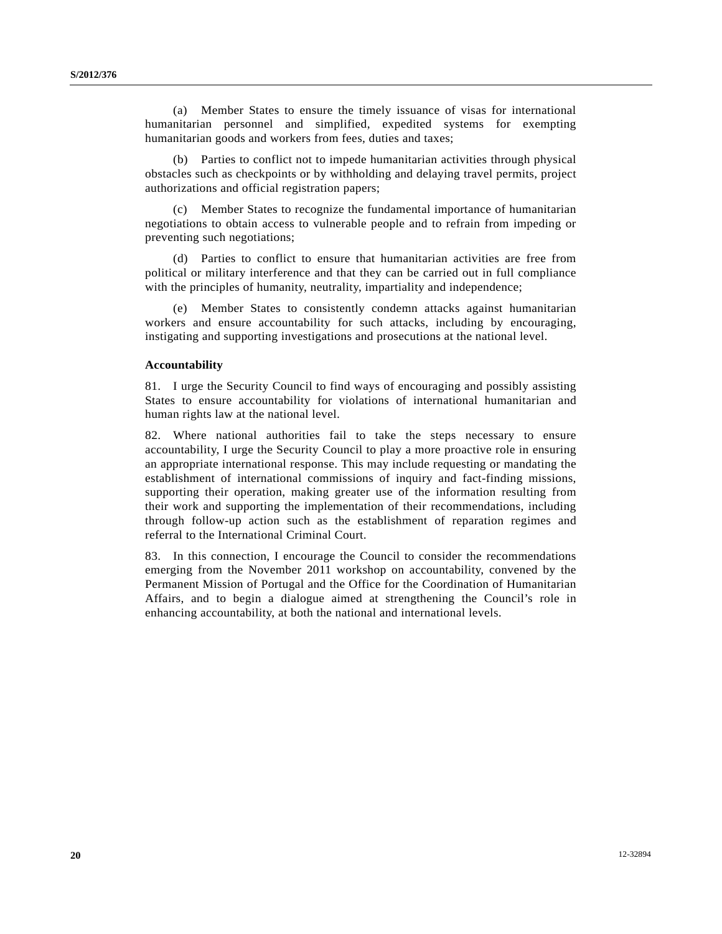(a) Member States to ensure the timely issuance of visas for international humanitarian personnel and simplified, expedited systems for exempting humanitarian goods and workers from fees, duties and taxes;

 (b) Parties to conflict not to impede humanitarian activities through physical obstacles such as checkpoints or by withholding and delaying travel permits, project authorizations and official registration papers;

 (c) Member States to recognize the fundamental importance of humanitarian negotiations to obtain access to vulnerable people and to refrain from impeding or preventing such negotiations;

 (d) Parties to conflict to ensure that humanitarian activities are free from political or military interference and that they can be carried out in full compliance with the principles of humanity, neutrality, impartiality and independence;

 (e) Member States to consistently condemn attacks against humanitarian workers and ensure accountability for such attacks, including by encouraging, instigating and supporting investigations and prosecutions at the national level.

#### **Accountability**

81. I urge the Security Council to find ways of encouraging and possibly assisting States to ensure accountability for violations of international humanitarian and human rights law at the national level.

82. Where national authorities fail to take the steps necessary to ensure accountability, I urge the Security Council to play a more proactive role in ensuring an appropriate international response. This may include requesting or mandating the establishment of international commissions of inquiry and fact-finding missions, supporting their operation, making greater use of the information resulting from their work and supporting the implementation of their recommendations, including through follow-up action such as the establishment of reparation regimes and referral to the International Criminal Court.

83. In this connection, I encourage the Council to consider the recommendations emerging from the November 2011 workshop on accountability, convened by the Permanent Mission of Portugal and the Office for the Coordination of Humanitarian Affairs, and to begin a dialogue aimed at strengthening the Council's role in enhancing accountability, at both the national and international levels.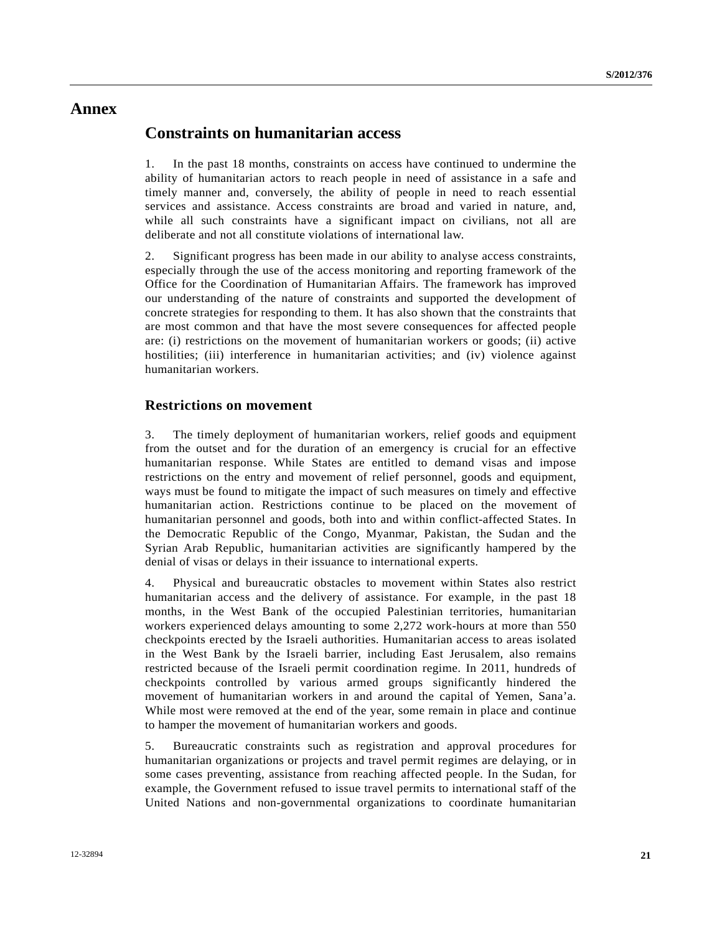# **Annex**

## **Constraints on humanitarian access**

1. In the past 18 months, constraints on access have continued to undermine the ability of humanitarian actors to reach people in need of assistance in a safe and timely manner and, conversely, the ability of people in need to reach essential services and assistance. Access constraints are broad and varied in nature, and, while all such constraints have a significant impact on civilians, not all are deliberate and not all constitute violations of international law.

2. Significant progress has been made in our ability to analyse access constraints, especially through the use of the access monitoring and reporting framework of the Office for the Coordination of Humanitarian Affairs. The framework has improved our understanding of the nature of constraints and supported the development of concrete strategies for responding to them. It has also shown that the constraints that are most common and that have the most severe consequences for affected people are: (i) restrictions on the movement of humanitarian workers or goods; (ii) active hostilities; (iii) interference in humanitarian activities; and (iv) violence against humanitarian workers.

### **Restrictions on movement**

3. The timely deployment of humanitarian workers, relief goods and equipment from the outset and for the duration of an emergency is crucial for an effective humanitarian response. While States are entitled to demand visas and impose restrictions on the entry and movement of relief personnel, goods and equipment, ways must be found to mitigate the impact of such measures on timely and effective humanitarian action. Restrictions continue to be placed on the movement of humanitarian personnel and goods, both into and within conflict-affected States. In the Democratic Republic of the Congo, Myanmar, Pakistan, the Sudan and the Syrian Arab Republic, humanitarian activities are significantly hampered by the denial of visas or delays in their issuance to international experts.

4. Physical and bureaucratic obstacles to movement within States also restrict humanitarian access and the delivery of assistance. For example, in the past 18 months, in the West Bank of the occupied Palestinian territories, humanitarian workers experienced delays amounting to some 2,272 work-hours at more than 550 checkpoints erected by the Israeli authorities. Humanitarian access to areas isolated in the West Bank by the Israeli barrier, including East Jerusalem, also remains restricted because of the Israeli permit coordination regime. In 2011, hundreds of checkpoints controlled by various armed groups significantly hindered the movement of humanitarian workers in and around the capital of Yemen, Sana'a. While most were removed at the end of the year, some remain in place and continue to hamper the movement of humanitarian workers and goods.

5. Bureaucratic constraints such as registration and approval procedures for humanitarian organizations or projects and travel permit regimes are delaying, or in some cases preventing, assistance from reaching affected people. In the Sudan, for example, the Government refused to issue travel permits to international staff of the United Nations and non-governmental organizations to coordinate humanitarian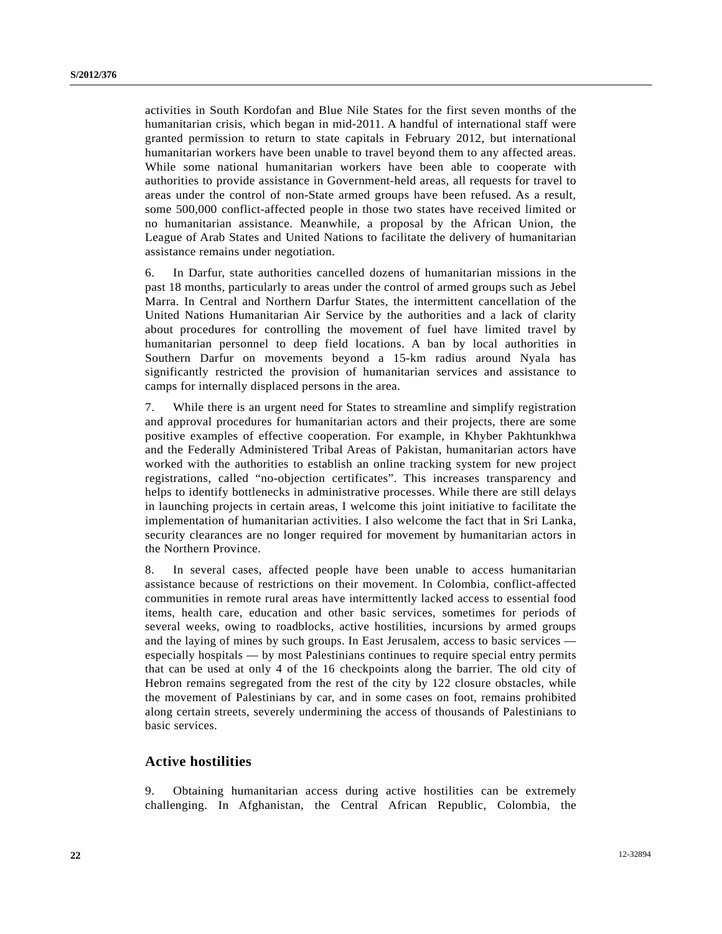activities in South Kordofan and Blue Nile States for the first seven months of the humanitarian crisis, which began in mid-2011. A handful of international staff were granted permission to return to state capitals in February 2012, but international humanitarian workers have been unable to travel beyond them to any affected areas. While some national humanitarian workers have been able to cooperate with authorities to provide assistance in Government-held areas, all requests for travel to areas under the control of non-State armed groups have been refused. As a result, some 500,000 conflict-affected people in those two states have received limited or no humanitarian assistance. Meanwhile, a proposal by the African Union, the League of Arab States and United Nations to facilitate the delivery of humanitarian assistance remains under negotiation.

6. In Darfur, state authorities cancelled dozens of humanitarian missions in the past 18 months, particularly to areas under the control of armed groups such as Jebel Marra. In Central and Northern Darfur States, the intermittent cancellation of the United Nations Humanitarian Air Service by the authorities and a lack of clarity about procedures for controlling the movement of fuel have limited travel by humanitarian personnel to deep field locations. A ban by local authorities in Southern Darfur on movements beyond a 15-km radius around Nyala has significantly restricted the provision of humanitarian services and assistance to camps for internally displaced persons in the area.

7. While there is an urgent need for States to streamline and simplify registration and approval procedures for humanitarian actors and their projects, there are some positive examples of effective cooperation. For example, in Khyber Pakhtunkhwa and the Federally Administered Tribal Areas of Pakistan, humanitarian actors have worked with the authorities to establish an online tracking system for new project registrations, called "no-objection certificates". This increases transparency and helps to identify bottlenecks in administrative processes. While there are still delays in launching projects in certain areas, I welcome this joint initiative to facilitate the implementation of humanitarian activities. I also welcome the fact that in Sri Lanka, security clearances are no longer required for movement by humanitarian actors in the Northern Province.

8. In several cases, affected people have been unable to access humanitarian assistance because of restrictions on their movement. In Colombia, conflict-affected communities in remote rural areas have intermittently lacked access to essential food items, health care, education and other basic services, sometimes for periods of several weeks, owing to roadblocks, active hostilities, incursions by armed groups and the laying of mines by such groups. In East Jerusalem, access to basic services especially hospitals — by most Palestinians continues to require special entry permits that can be used at only 4 of the 16 checkpoints along the barrier. The old city of Hebron remains segregated from the rest of the city by 122 closure obstacles, while the movement of Palestinians by car, and in some cases on foot, remains prohibited along certain streets, severely undermining the access of thousands of Palestinians to basic services.

### **Active hostilities**

9. Obtaining humanitarian access during active hostilities can be extremely challenging. In Afghanistan, the Central African Republic, Colombia, the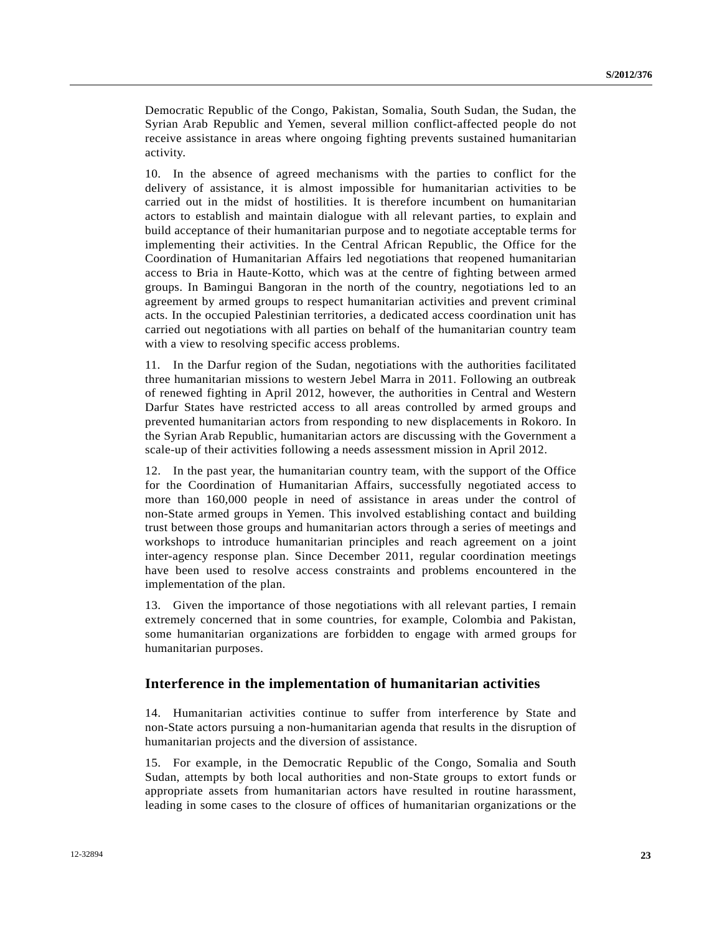Democratic Republic of the Congo, Pakistan, Somalia, South Sudan, the Sudan, the Syrian Arab Republic and Yemen, several million conflict-affected people do not receive assistance in areas where ongoing fighting prevents sustained humanitarian activity.

10. In the absence of agreed mechanisms with the parties to conflict for the delivery of assistance, it is almost impossible for humanitarian activities to be carried out in the midst of hostilities. It is therefore incumbent on humanitarian actors to establish and maintain dialogue with all relevant parties, to explain and build acceptance of their humanitarian purpose and to negotiate acceptable terms for implementing their activities. In the Central African Republic, the Office for the Coordination of Humanitarian Affairs led negotiations that reopened humanitarian access to Bria in Haute-Kotto, which was at the centre of fighting between armed groups. In Bamingui Bangoran in the north of the country, negotiations led to an agreement by armed groups to respect humanitarian activities and prevent criminal acts. In the occupied Palestinian territories, a dedicated access coordination unit has carried out negotiations with all parties on behalf of the humanitarian country team with a view to resolving specific access problems.

11. In the Darfur region of the Sudan, negotiations with the authorities facilitated three humanitarian missions to western Jebel Marra in 2011. Following an outbreak of renewed fighting in April 2012, however, the authorities in Central and Western Darfur States have restricted access to all areas controlled by armed groups and prevented humanitarian actors from responding to new displacements in Rokoro. In the Syrian Arab Republic, humanitarian actors are discussing with the Government a scale-up of their activities following a needs assessment mission in April 2012.

12. In the past year, the humanitarian country team, with the support of the Office for the Coordination of Humanitarian Affairs, successfully negotiated access to more than 160,000 people in need of assistance in areas under the control of non-State armed groups in Yemen. This involved establishing contact and building trust between those groups and humanitarian actors through a series of meetings and workshops to introduce humanitarian principles and reach agreement on a joint inter-agency response plan. Since December 2011, regular coordination meetings have been used to resolve access constraints and problems encountered in the implementation of the plan.

13. Given the importance of those negotiations with all relevant parties, I remain extremely concerned that in some countries, for example, Colombia and Pakistan, some humanitarian organizations are forbidden to engage with armed groups for humanitarian purposes.

### **Interference in the implementation of humanitarian activities**

14. Humanitarian activities continue to suffer from interference by State and non-State actors pursuing a non-humanitarian agenda that results in the disruption of humanitarian projects and the diversion of assistance.

15. For example, in the Democratic Republic of the Congo, Somalia and South Sudan, attempts by both local authorities and non-State groups to extort funds or appropriate assets from humanitarian actors have resulted in routine harassment, leading in some cases to the closure of offices of humanitarian organizations or the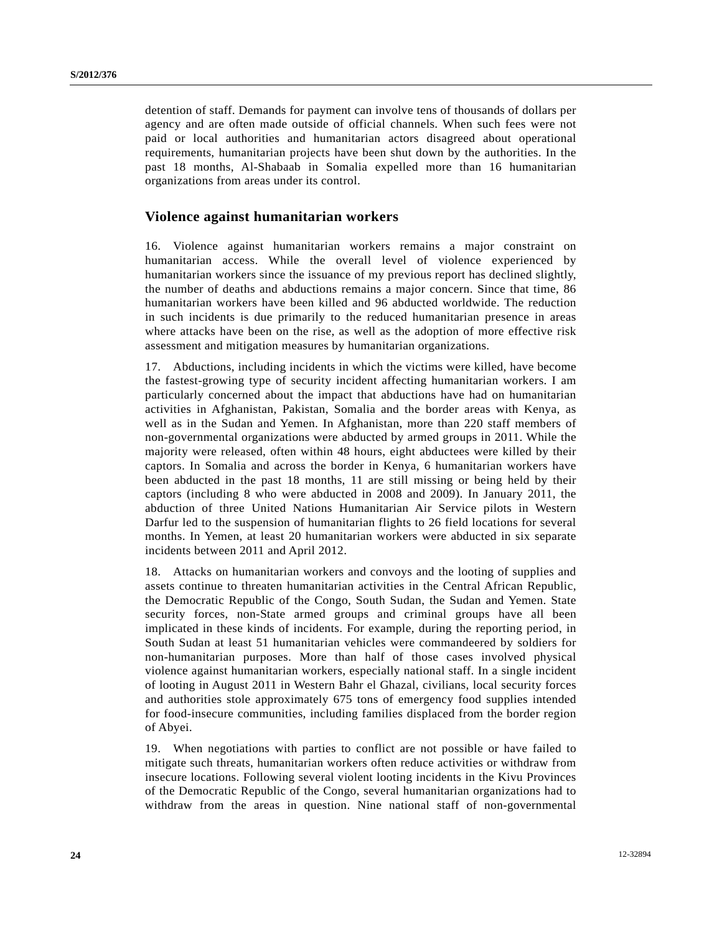detention of staff. Demands for payment can involve tens of thousands of dollars per agency and are often made outside of official channels. When such fees were not paid or local authorities and humanitarian actors disagreed about operational requirements, humanitarian projects have been shut down by the authorities. In the past 18 months, Al-Shabaab in Somalia expelled more than 16 humanitarian organizations from areas under its control.

### **Violence against humanitarian workers**

16. Violence against humanitarian workers remains a major constraint on humanitarian access. While the overall level of violence experienced by humanitarian workers since the issuance of my previous report has declined slightly, the number of deaths and abductions remains a major concern. Since that time, 86 humanitarian workers have been killed and 96 abducted worldwide. The reduction in such incidents is due primarily to the reduced humanitarian presence in areas where attacks have been on the rise, as well as the adoption of more effective risk assessment and mitigation measures by humanitarian organizations.

17. Abductions, including incidents in which the victims were killed, have become the fastest-growing type of security incident affecting humanitarian workers. I am particularly concerned about the impact that abductions have had on humanitarian activities in Afghanistan, Pakistan, Somalia and the border areas with Kenya, as well as in the Sudan and Yemen. In Afghanistan, more than 220 staff members of non-governmental organizations were abducted by armed groups in 2011. While the majority were released, often within 48 hours, eight abductees were killed by their captors. In Somalia and across the border in Kenya, 6 humanitarian workers have been abducted in the past 18 months, 11 are still missing or being held by their captors (including 8 who were abducted in 2008 and 2009). In January 2011, the abduction of three United Nations Humanitarian Air Service pilots in Western Darfur led to the suspension of humanitarian flights to 26 field locations for several months. In Yemen, at least 20 humanitarian workers were abducted in six separate incidents between 2011 and April 2012.

18. Attacks on humanitarian workers and convoys and the looting of supplies and assets continue to threaten humanitarian activities in the Central African Republic, the Democratic Republic of the Congo, South Sudan, the Sudan and Yemen. State security forces, non-State armed groups and criminal groups have all been implicated in these kinds of incidents. For example, during the reporting period, in South Sudan at least 51 humanitarian vehicles were commandeered by soldiers for non-humanitarian purposes. More than half of those cases involved physical violence against humanitarian workers, especially national staff. In a single incident of looting in August 2011 in Western Bahr el Ghazal, civilians, local security forces and authorities stole approximately 675 tons of emergency food supplies intended for food-insecure communities, including families displaced from the border region of Abyei.

19. When negotiations with parties to conflict are not possible or have failed to mitigate such threats, humanitarian workers often reduce activities or withdraw from insecure locations. Following several violent looting incidents in the Kivu Provinces of the Democratic Republic of the Congo, several humanitarian organizations had to withdraw from the areas in question. Nine national staff of non-governmental